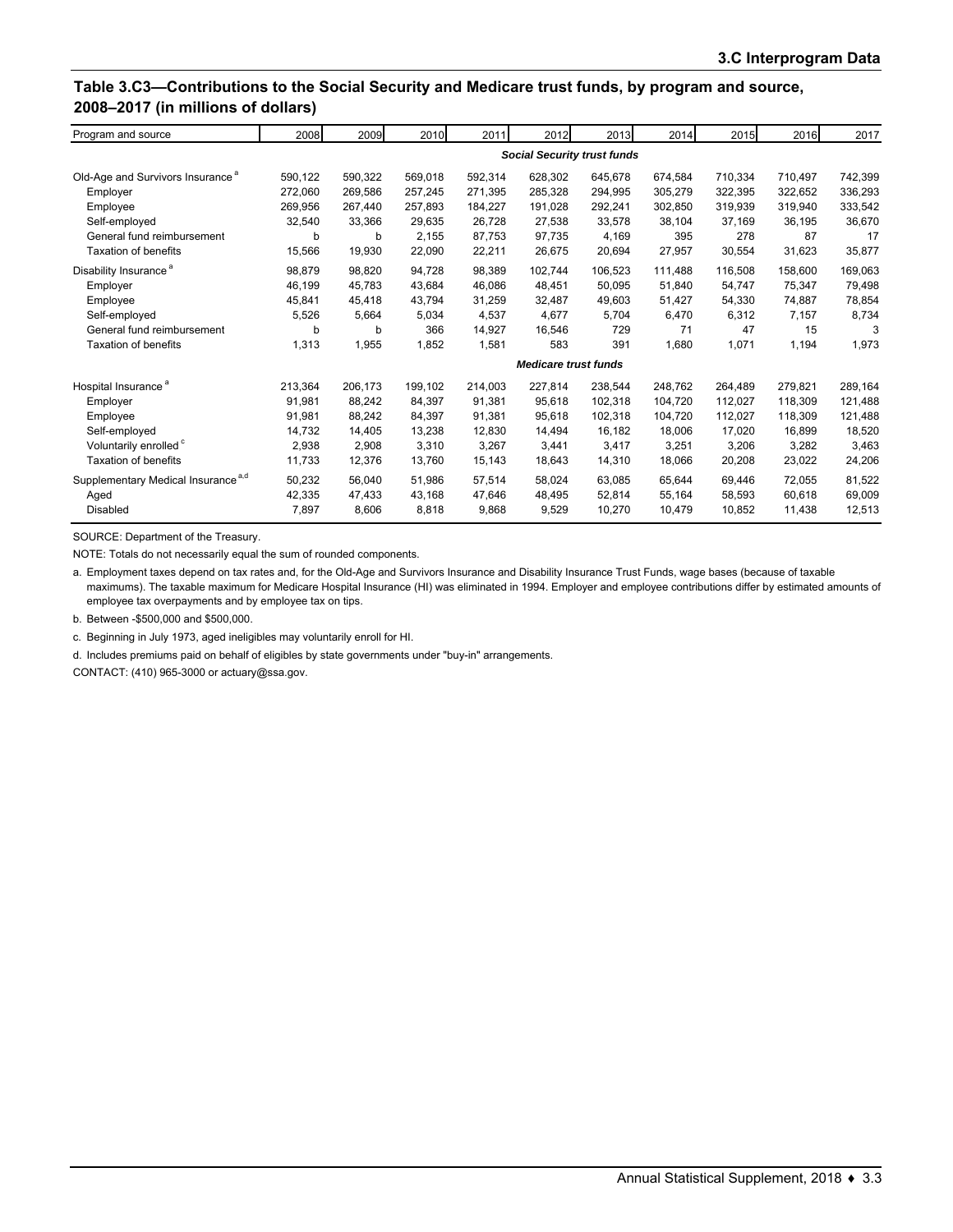## **Table 3.C3—Contributions to the Social Security and Medicare trust funds, by program and source, 2008–2017 (in millions of dollars)**

| Program and source                             | 2008                               | 2009    | 2010    | 2011    | 2012                        | 2013    | 2014    | 2015    | 2016    | 2017    |  |
|------------------------------------------------|------------------------------------|---------|---------|---------|-----------------------------|---------|---------|---------|---------|---------|--|
|                                                | <b>Social Security trust funds</b> |         |         |         |                             |         |         |         |         |         |  |
| Old-Age and Survivors Insurance <sup>a</sup>   | 590,122                            | 590,322 | 569,018 | 592,314 | 628,302                     | 645,678 | 674,584 | 710,334 | 710,497 | 742,399 |  |
| Employer                                       | 272,060                            | 269,586 | 257,245 | 271,395 | 285,328                     | 294,995 | 305,279 | 322,395 | 322,652 | 336,293 |  |
| Employee                                       | 269,956                            | 267,440 | 257,893 | 184,227 | 191,028                     | 292,241 | 302,850 | 319,939 | 319,940 | 333,542 |  |
| Self-employed                                  | 32,540                             | 33,366  | 29,635  | 26,728  | 27,538                      | 33,578  | 38,104  | 37,169  | 36,195  | 36,670  |  |
| General fund reimbursement                     | b                                  | b       | 2,155   | 87,753  | 97,735                      | 4,169   | 395     | 278     | 87      | 17      |  |
| <b>Taxation of benefits</b>                    | 15,566                             | 19,930  | 22,090  | 22,211  | 26,675                      | 20,694  | 27,957  | 30,554  | 31,623  | 35,877  |  |
| Disability Insurance <sup>a</sup>              | 98,879                             | 98,820  | 94,728  | 98,389  | 102,744                     | 106,523 | 111,488 | 116,508 | 158,600 | 169,063 |  |
| Employer                                       | 46,199                             | 45,783  | 43,684  | 46,086  | 48,451                      | 50,095  | 51,840  | 54,747  | 75,347  | 79,498  |  |
| Employee                                       | 45,841                             | 45,418  | 43,794  | 31,259  | 32,487                      | 49,603  | 51,427  | 54,330  | 74.887  | 78,854  |  |
| Self-employed                                  | 5,526                              | 5,664   | 5,034   | 4,537   | 4,677                       | 5,704   | 6,470   | 6,312   | 7,157   | 8,734   |  |
| General fund reimbursement                     | b                                  | b       | 366     | 14,927  | 16,546                      | 729     | 71      | 47      | 15      | 3       |  |
| <b>Taxation of benefits</b>                    | 1,313                              | 1,955   | 1,852   | 1,581   | 583                         | 391     | 1,680   | 1,071   | 1,194   | 1,973   |  |
|                                                |                                    |         |         |         | <b>Medicare trust funds</b> |         |         |         |         |         |  |
| Hospital Insurance <sup>a</sup>                | 213,364                            | 206,173 | 199,102 | 214,003 | 227,814                     | 238,544 | 248,762 | 264,489 | 279,821 | 289,164 |  |
| Employer                                       | 91,981                             | 88,242  | 84,397  | 91,381  | 95.618                      | 102,318 | 104.720 | 112,027 | 118,309 | 121,488 |  |
| Employee                                       | 91,981                             | 88,242  | 84,397  | 91,381  | 95,618                      | 102,318 | 104,720 | 112,027 | 118,309 | 121,488 |  |
| Self-employed                                  | 14,732                             | 14,405  | 13,238  | 12,830  | 14,494                      | 16.182  | 18,006  | 17,020  | 16,899  | 18,520  |  |
| Voluntarily enrolled <sup>c</sup>              | 2,938                              | 2,908   | 3,310   | 3,267   | 3,441                       | 3,417   | 3,251   | 3,206   | 3,282   | 3,463   |  |
| <b>Taxation of benefits</b>                    | 11,733                             | 12,376  | 13,760  | 15,143  | 18,643                      | 14,310  | 18,066  | 20,208  | 23,022  | 24,206  |  |
| Supplementary Medical Insurance <sup>a,d</sup> | 50,232                             | 56,040  | 51,986  | 57,514  | 58,024                      | 63,085  | 65,644  | 69,446  | 72,055  | 81,522  |  |
| Aged                                           | 42,335                             | 47,433  | 43,168  | 47,646  | 48,495                      | 52,814  | 55,164  | 58,593  | 60.618  | 69,009  |  |
| <b>Disabled</b>                                | 7,897                              | 8,606   | 8,818   | 9,868   | 9,529                       | 10,270  | 10,479  | 10,852  | 11,438  | 12,513  |  |

SOURCE: Department of the Treasury.

NOTE: Totals do not necessarily equal the sum of rounded components.

a. Employment taxes depend on tax rates and, for the Old-Age and Survivors Insurance and Disability Insurance Trust Funds, wage bases (because of taxable maximums). The taxable maximum for Medicare Hospital Insurance (HI) was eliminated in 1994. Employer and employee contributions differ by estimated amounts of employee tax overpayments and by employee tax on tips.

b. Between -\$500,000 and \$500,000.

c. Beginning in July 1973, aged ineligibles may voluntarily enroll for HI.

d. Includes premiums paid on behalf of eligibles by state governments under "buy-in" arrangements.

CONTACT: (410) 965-3000 or actuary@ssa.gov.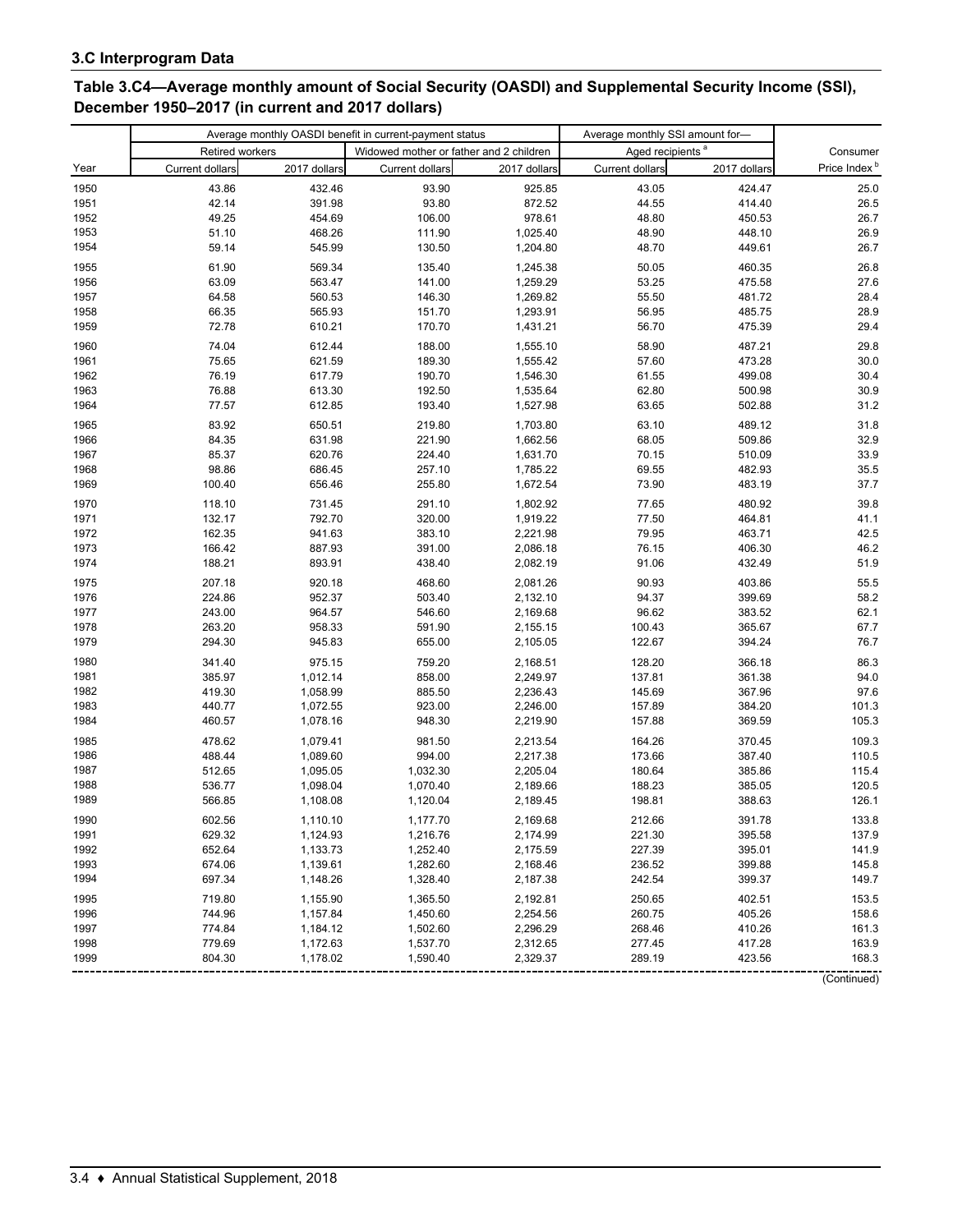# **Table 3.C4—Average monthly amount of Social Security (OASDI) and Supplemental Security Income (SSI), December 1950–2017 (in current and 2017 dollars)**

| Aged recipients <sup>a</sup><br>Retired workers<br>Widowed mother or father and 2 children<br>Consumer<br>Current dollars<br>Price Index <sup>b</sup><br>Current dollars<br>2017 dollars<br>Current dollars<br>2017 dollars<br>2017 dollars<br>Year<br>93.90<br>1950<br>43.86<br>432.46<br>925.85<br>43.05<br>424.47<br>25.0<br>42.14<br>93.80<br>44.55<br>26.5<br>1951<br>391.98<br>872.52<br>414.40<br>49.25<br>1952<br>454.69<br>106.00<br>978.61<br>48.80<br>450.53<br>26.7<br>1953<br>51.10<br>468.26<br>111.90<br>48.90<br>448.10<br>26.9<br>1,025.40<br>1954<br>59.14<br>545.99<br>130.50<br>48.70<br>449.61<br>26.7<br>1,204.80<br>135.40<br>50.05<br>26.8<br>1955<br>61.90<br>569.34<br>1,245.38<br>460.35<br>1956<br>63.09<br>141.00<br>53.25<br>563.47<br>1,259.29<br>475.58<br>27.6<br>55.50<br>28.4<br>1957<br>64.58<br>560.53<br>146.30<br>1,269.82<br>481.72<br>1958<br>66.35<br>565.93<br>151.70<br>56.95<br>28.9<br>1,293.91<br>485.75<br>72.78<br>170.70<br>56.70<br>475.39<br>29.4<br>1959<br>610.21<br>1,431.21<br>1960<br>29.8<br>74.04<br>612.44<br>188.00<br>1,555.10<br>58.90<br>487.21<br>30.0<br>1961<br>75.65<br>621.59<br>189.30<br>1,555.42<br>57.60<br>473.28<br>30.4<br>1962<br>76.19<br>617.79<br>190.70<br>1,546.30<br>61.55<br>499.08<br>30.9<br>1963<br>76.88<br>613.30<br>192.50<br>1,535.64<br>62.80<br>500.98<br>1964<br>77.57<br>63.65<br>31.2<br>612.85<br>193.40<br>1,527.98<br>502.88<br>83.92<br>219.80<br>63.10<br>31.8<br>1965<br>650.51<br>1,703.80<br>489.12<br>68.05<br>32.9<br>1966<br>84.35<br>631.98<br>221.90<br>1,662.56<br>509.86<br>1967<br>33.9<br>85.37<br>620.76<br>224.40<br>1,631.70<br>70.15<br>510.09<br>98.86<br>69.55<br>35.5<br>1968<br>686.45<br>257.10<br>1,785.22<br>482.93<br>1969<br>100.40<br>656.46<br>255.80<br>73.90<br>37.7<br>1,672.54<br>483.19<br>39.8<br>1970<br>118.10<br>731.45<br>291.10<br>1,802.92<br>77.65<br>480.92<br>1971<br>792.70<br>41.1<br>132.17<br>320.00<br>1,919.22<br>77.50<br>464.81<br>1972<br>162.35<br>941.63<br>383.10<br>2,221.98<br>79.95<br>463.71<br>42.5<br>1973<br>166.42<br>887.93<br>391.00<br>2,086.18<br>76.15<br>406.30<br>46.2<br>1974<br>188.21<br>893.91<br>438.40<br>91.06<br>432.49<br>51.9<br>2,082.19<br>1975<br>468.60<br>207.18<br>920.18<br>2,081.26<br>90.93<br>403.86<br>55.5<br>952.37<br>503.40<br>94.37<br>399.69<br>1976<br>224.86<br>2,132.10<br>58.2<br>62.1<br>1977<br>243.00<br>964.57<br>546.60<br>96.62<br>383.52<br>2,169.68<br>1978<br>263.20<br>958.33<br>591.90<br>365.67<br>67.7<br>2,155.15<br>100.43<br>76.7<br>1979<br>294.30<br>945.83<br>655.00<br>2,105.05<br>122.67<br>394.24<br>86.3<br>1980<br>341.40<br>975.15<br>759.20<br>2,168.51<br>128.20<br>366.18<br>1981<br>385.97<br>858.00<br>2,249.97<br>137.81<br>361.38<br>94.0<br>1,012.14<br>1982<br>97.6<br>419.30<br>1,058.99<br>885.50<br>2,236.43<br>145.69<br>367.96<br>101.3<br>1983<br>440.77<br>923.00<br>2,246.00<br>157.89<br>384.20<br>1,072.55<br>105.3<br>1984<br>460.57<br>948.30<br>157.88<br>369.59<br>1,078.16<br>2,219.90<br>109.3<br>1985<br>478.62<br>1,079.41<br>981.50<br>2,213.54<br>164.26<br>370.45<br>1986<br>488.44<br>1,089.60<br>994.00<br>2,217.38<br>173.66<br>387.40<br>110.5<br>1987<br>512.65<br>1,095.05<br>1,032.30<br>2,205.04<br>180.64<br>385.86<br>115.4<br>1988<br>536.77<br>1,098.04<br>188.23<br>385.05<br>120.5<br>1,070.40<br>2,189.66<br>1989<br>126.1<br>566.85<br>1,108.08<br>1,120.04<br>2,189.45<br>198.81<br>388.63<br>1990<br>602.56<br>2,169.68<br>212.66<br>391.78<br>133.8<br>1,110.10<br>1,177.70<br>1991<br>629.32<br>395.58<br>137.9<br>1,124.93<br>1,216.76<br>2,174.99<br>221.30<br>141.9<br>1992<br>652.64<br>1,133.73<br>1,252.40<br>2,175.59<br>227.39<br>395.01<br>1993<br>674.06<br>145.8<br>1,139.61<br>1,282.60<br>2,168.46<br>236.52<br>399.88<br>1994<br>697.34<br>1,328.40<br>2,187.38<br>242.54<br>399.37<br>149.7<br>1,148.26<br>1995<br>402.51<br>719.80<br>1,155.90<br>1,365.50<br>2,192.81<br>250.65<br>153.5<br>1996<br>744.96<br>1,157.84<br>2,254.56<br>260.75<br>405.26<br>158.6<br>1,450.60<br>1997<br>774.84<br>1,184.12<br>1,502.60<br>2,296.29<br>268.46<br>410.26<br>161.3<br>779.69<br>163.9<br>1998<br>1,172.63<br>1,537.70<br>2,312.65<br>277.45<br>417.28<br>168.3<br>1999<br>804.30<br>1,178.02<br>1,590.40<br>2,329.37<br>289.19<br>423.56 |  | Average monthly OASDI benefit in current-payment status | Average monthly SSI amount for- |  |  |
|-------------------------------------------------------------------------------------------------------------------------------------------------------------------------------------------------------------------------------------------------------------------------------------------------------------------------------------------------------------------------------------------------------------------------------------------------------------------------------------------------------------------------------------------------------------------------------------------------------------------------------------------------------------------------------------------------------------------------------------------------------------------------------------------------------------------------------------------------------------------------------------------------------------------------------------------------------------------------------------------------------------------------------------------------------------------------------------------------------------------------------------------------------------------------------------------------------------------------------------------------------------------------------------------------------------------------------------------------------------------------------------------------------------------------------------------------------------------------------------------------------------------------------------------------------------------------------------------------------------------------------------------------------------------------------------------------------------------------------------------------------------------------------------------------------------------------------------------------------------------------------------------------------------------------------------------------------------------------------------------------------------------------------------------------------------------------------------------------------------------------------------------------------------------------------------------------------------------------------------------------------------------------------------------------------------------------------------------------------------------------------------------------------------------------------------------------------------------------------------------------------------------------------------------------------------------------------------------------------------------------------------------------------------------------------------------------------------------------------------------------------------------------------------------------------------------------------------------------------------------------------------------------------------------------------------------------------------------------------------------------------------------------------------------------------------------------------------------------------------------------------------------------------------------------------------------------------------------------------------------------------------------------------------------------------------------------------------------------------------------------------------------------------------------------------------------------------------------------------------------------------------------------------------------------------------------------------------------------------------------------------------------------------------------------------------------------------------------------------------------------------------------------------------------------------------------------------------------------------------------------------------------------------------------------------------------------------------------------------------------------------------------------------------------------------------------------------------------------------------------------------------------------------------------------------------------------------------------------------------------------------------------------------------------------------------------------------------------|--|---------------------------------------------------------|---------------------------------|--|--|
|                                                                                                                                                                                                                                                                                                                                                                                                                                                                                                                                                                                                                                                                                                                                                                                                                                                                                                                                                                                                                                                                                                                                                                                                                                                                                                                                                                                                                                                                                                                                                                                                                                                                                                                                                                                                                                                                                                                                                                                                                                                                                                                                                                                                                                                                                                                                                                                                                                                                                                                                                                                                                                                                                                                                                                                                                                                                                                                                                                                                                                                                                                                                                                                                                                                                                                                                                                                                                                                                                                                                                                                                                                                                                                                                                                                                                                                                                                                                                                                                                                                                                                                                                                                                                                                                                                                                           |  |                                                         |                                 |  |  |
|                                                                                                                                                                                                                                                                                                                                                                                                                                                                                                                                                                                                                                                                                                                                                                                                                                                                                                                                                                                                                                                                                                                                                                                                                                                                                                                                                                                                                                                                                                                                                                                                                                                                                                                                                                                                                                                                                                                                                                                                                                                                                                                                                                                                                                                                                                                                                                                                                                                                                                                                                                                                                                                                                                                                                                                                                                                                                                                                                                                                                                                                                                                                                                                                                                                                                                                                                                                                                                                                                                                                                                                                                                                                                                                                                                                                                                                                                                                                                                                                                                                                                                                                                                                                                                                                                                                                           |  |                                                         |                                 |  |  |
|                                                                                                                                                                                                                                                                                                                                                                                                                                                                                                                                                                                                                                                                                                                                                                                                                                                                                                                                                                                                                                                                                                                                                                                                                                                                                                                                                                                                                                                                                                                                                                                                                                                                                                                                                                                                                                                                                                                                                                                                                                                                                                                                                                                                                                                                                                                                                                                                                                                                                                                                                                                                                                                                                                                                                                                                                                                                                                                                                                                                                                                                                                                                                                                                                                                                                                                                                                                                                                                                                                                                                                                                                                                                                                                                                                                                                                                                                                                                                                                                                                                                                                                                                                                                                                                                                                                                           |  |                                                         |                                 |  |  |
|                                                                                                                                                                                                                                                                                                                                                                                                                                                                                                                                                                                                                                                                                                                                                                                                                                                                                                                                                                                                                                                                                                                                                                                                                                                                                                                                                                                                                                                                                                                                                                                                                                                                                                                                                                                                                                                                                                                                                                                                                                                                                                                                                                                                                                                                                                                                                                                                                                                                                                                                                                                                                                                                                                                                                                                                                                                                                                                                                                                                                                                                                                                                                                                                                                                                                                                                                                                                                                                                                                                                                                                                                                                                                                                                                                                                                                                                                                                                                                                                                                                                                                                                                                                                                                                                                                                                           |  |                                                         |                                 |  |  |
|                                                                                                                                                                                                                                                                                                                                                                                                                                                                                                                                                                                                                                                                                                                                                                                                                                                                                                                                                                                                                                                                                                                                                                                                                                                                                                                                                                                                                                                                                                                                                                                                                                                                                                                                                                                                                                                                                                                                                                                                                                                                                                                                                                                                                                                                                                                                                                                                                                                                                                                                                                                                                                                                                                                                                                                                                                                                                                                                                                                                                                                                                                                                                                                                                                                                                                                                                                                                                                                                                                                                                                                                                                                                                                                                                                                                                                                                                                                                                                                                                                                                                                                                                                                                                                                                                                                                           |  |                                                         |                                 |  |  |
|                                                                                                                                                                                                                                                                                                                                                                                                                                                                                                                                                                                                                                                                                                                                                                                                                                                                                                                                                                                                                                                                                                                                                                                                                                                                                                                                                                                                                                                                                                                                                                                                                                                                                                                                                                                                                                                                                                                                                                                                                                                                                                                                                                                                                                                                                                                                                                                                                                                                                                                                                                                                                                                                                                                                                                                                                                                                                                                                                                                                                                                                                                                                                                                                                                                                                                                                                                                                                                                                                                                                                                                                                                                                                                                                                                                                                                                                                                                                                                                                                                                                                                                                                                                                                                                                                                                                           |  |                                                         |                                 |  |  |
|                                                                                                                                                                                                                                                                                                                                                                                                                                                                                                                                                                                                                                                                                                                                                                                                                                                                                                                                                                                                                                                                                                                                                                                                                                                                                                                                                                                                                                                                                                                                                                                                                                                                                                                                                                                                                                                                                                                                                                                                                                                                                                                                                                                                                                                                                                                                                                                                                                                                                                                                                                                                                                                                                                                                                                                                                                                                                                                                                                                                                                                                                                                                                                                                                                                                                                                                                                                                                                                                                                                                                                                                                                                                                                                                                                                                                                                                                                                                                                                                                                                                                                                                                                                                                                                                                                                                           |  |                                                         |                                 |  |  |
|                                                                                                                                                                                                                                                                                                                                                                                                                                                                                                                                                                                                                                                                                                                                                                                                                                                                                                                                                                                                                                                                                                                                                                                                                                                                                                                                                                                                                                                                                                                                                                                                                                                                                                                                                                                                                                                                                                                                                                                                                                                                                                                                                                                                                                                                                                                                                                                                                                                                                                                                                                                                                                                                                                                                                                                                                                                                                                                                                                                                                                                                                                                                                                                                                                                                                                                                                                                                                                                                                                                                                                                                                                                                                                                                                                                                                                                                                                                                                                                                                                                                                                                                                                                                                                                                                                                                           |  |                                                         |                                 |  |  |
|                                                                                                                                                                                                                                                                                                                                                                                                                                                                                                                                                                                                                                                                                                                                                                                                                                                                                                                                                                                                                                                                                                                                                                                                                                                                                                                                                                                                                                                                                                                                                                                                                                                                                                                                                                                                                                                                                                                                                                                                                                                                                                                                                                                                                                                                                                                                                                                                                                                                                                                                                                                                                                                                                                                                                                                                                                                                                                                                                                                                                                                                                                                                                                                                                                                                                                                                                                                                                                                                                                                                                                                                                                                                                                                                                                                                                                                                                                                                                                                                                                                                                                                                                                                                                                                                                                                                           |  |                                                         |                                 |  |  |
|                                                                                                                                                                                                                                                                                                                                                                                                                                                                                                                                                                                                                                                                                                                                                                                                                                                                                                                                                                                                                                                                                                                                                                                                                                                                                                                                                                                                                                                                                                                                                                                                                                                                                                                                                                                                                                                                                                                                                                                                                                                                                                                                                                                                                                                                                                                                                                                                                                                                                                                                                                                                                                                                                                                                                                                                                                                                                                                                                                                                                                                                                                                                                                                                                                                                                                                                                                                                                                                                                                                                                                                                                                                                                                                                                                                                                                                                                                                                                                                                                                                                                                                                                                                                                                                                                                                                           |  |                                                         |                                 |  |  |
|                                                                                                                                                                                                                                                                                                                                                                                                                                                                                                                                                                                                                                                                                                                                                                                                                                                                                                                                                                                                                                                                                                                                                                                                                                                                                                                                                                                                                                                                                                                                                                                                                                                                                                                                                                                                                                                                                                                                                                                                                                                                                                                                                                                                                                                                                                                                                                                                                                                                                                                                                                                                                                                                                                                                                                                                                                                                                                                                                                                                                                                                                                                                                                                                                                                                                                                                                                                                                                                                                                                                                                                                                                                                                                                                                                                                                                                                                                                                                                                                                                                                                                                                                                                                                                                                                                                                           |  |                                                         |                                 |  |  |
|                                                                                                                                                                                                                                                                                                                                                                                                                                                                                                                                                                                                                                                                                                                                                                                                                                                                                                                                                                                                                                                                                                                                                                                                                                                                                                                                                                                                                                                                                                                                                                                                                                                                                                                                                                                                                                                                                                                                                                                                                                                                                                                                                                                                                                                                                                                                                                                                                                                                                                                                                                                                                                                                                                                                                                                                                                                                                                                                                                                                                                                                                                                                                                                                                                                                                                                                                                                                                                                                                                                                                                                                                                                                                                                                                                                                                                                                                                                                                                                                                                                                                                                                                                                                                                                                                                                                           |  |                                                         |                                 |  |  |
|                                                                                                                                                                                                                                                                                                                                                                                                                                                                                                                                                                                                                                                                                                                                                                                                                                                                                                                                                                                                                                                                                                                                                                                                                                                                                                                                                                                                                                                                                                                                                                                                                                                                                                                                                                                                                                                                                                                                                                                                                                                                                                                                                                                                                                                                                                                                                                                                                                                                                                                                                                                                                                                                                                                                                                                                                                                                                                                                                                                                                                                                                                                                                                                                                                                                                                                                                                                                                                                                                                                                                                                                                                                                                                                                                                                                                                                                                                                                                                                                                                                                                                                                                                                                                                                                                                                                           |  |                                                         |                                 |  |  |
|                                                                                                                                                                                                                                                                                                                                                                                                                                                                                                                                                                                                                                                                                                                                                                                                                                                                                                                                                                                                                                                                                                                                                                                                                                                                                                                                                                                                                                                                                                                                                                                                                                                                                                                                                                                                                                                                                                                                                                                                                                                                                                                                                                                                                                                                                                                                                                                                                                                                                                                                                                                                                                                                                                                                                                                                                                                                                                                                                                                                                                                                                                                                                                                                                                                                                                                                                                                                                                                                                                                                                                                                                                                                                                                                                                                                                                                                                                                                                                                                                                                                                                                                                                                                                                                                                                                                           |  |                                                         |                                 |  |  |
|                                                                                                                                                                                                                                                                                                                                                                                                                                                                                                                                                                                                                                                                                                                                                                                                                                                                                                                                                                                                                                                                                                                                                                                                                                                                                                                                                                                                                                                                                                                                                                                                                                                                                                                                                                                                                                                                                                                                                                                                                                                                                                                                                                                                                                                                                                                                                                                                                                                                                                                                                                                                                                                                                                                                                                                                                                                                                                                                                                                                                                                                                                                                                                                                                                                                                                                                                                                                                                                                                                                                                                                                                                                                                                                                                                                                                                                                                                                                                                                                                                                                                                                                                                                                                                                                                                                                           |  |                                                         |                                 |  |  |
|                                                                                                                                                                                                                                                                                                                                                                                                                                                                                                                                                                                                                                                                                                                                                                                                                                                                                                                                                                                                                                                                                                                                                                                                                                                                                                                                                                                                                                                                                                                                                                                                                                                                                                                                                                                                                                                                                                                                                                                                                                                                                                                                                                                                                                                                                                                                                                                                                                                                                                                                                                                                                                                                                                                                                                                                                                                                                                                                                                                                                                                                                                                                                                                                                                                                                                                                                                                                                                                                                                                                                                                                                                                                                                                                                                                                                                                                                                                                                                                                                                                                                                                                                                                                                                                                                                                                           |  |                                                         |                                 |  |  |
|                                                                                                                                                                                                                                                                                                                                                                                                                                                                                                                                                                                                                                                                                                                                                                                                                                                                                                                                                                                                                                                                                                                                                                                                                                                                                                                                                                                                                                                                                                                                                                                                                                                                                                                                                                                                                                                                                                                                                                                                                                                                                                                                                                                                                                                                                                                                                                                                                                                                                                                                                                                                                                                                                                                                                                                                                                                                                                                                                                                                                                                                                                                                                                                                                                                                                                                                                                                                                                                                                                                                                                                                                                                                                                                                                                                                                                                                                                                                                                                                                                                                                                                                                                                                                                                                                                                                           |  |                                                         |                                 |  |  |
|                                                                                                                                                                                                                                                                                                                                                                                                                                                                                                                                                                                                                                                                                                                                                                                                                                                                                                                                                                                                                                                                                                                                                                                                                                                                                                                                                                                                                                                                                                                                                                                                                                                                                                                                                                                                                                                                                                                                                                                                                                                                                                                                                                                                                                                                                                                                                                                                                                                                                                                                                                                                                                                                                                                                                                                                                                                                                                                                                                                                                                                                                                                                                                                                                                                                                                                                                                                                                                                                                                                                                                                                                                                                                                                                                                                                                                                                                                                                                                                                                                                                                                                                                                                                                                                                                                                                           |  |                                                         |                                 |  |  |
|                                                                                                                                                                                                                                                                                                                                                                                                                                                                                                                                                                                                                                                                                                                                                                                                                                                                                                                                                                                                                                                                                                                                                                                                                                                                                                                                                                                                                                                                                                                                                                                                                                                                                                                                                                                                                                                                                                                                                                                                                                                                                                                                                                                                                                                                                                                                                                                                                                                                                                                                                                                                                                                                                                                                                                                                                                                                                                                                                                                                                                                                                                                                                                                                                                                                                                                                                                                                                                                                                                                                                                                                                                                                                                                                                                                                                                                                                                                                                                                                                                                                                                                                                                                                                                                                                                                                           |  |                                                         |                                 |  |  |
|                                                                                                                                                                                                                                                                                                                                                                                                                                                                                                                                                                                                                                                                                                                                                                                                                                                                                                                                                                                                                                                                                                                                                                                                                                                                                                                                                                                                                                                                                                                                                                                                                                                                                                                                                                                                                                                                                                                                                                                                                                                                                                                                                                                                                                                                                                                                                                                                                                                                                                                                                                                                                                                                                                                                                                                                                                                                                                                                                                                                                                                                                                                                                                                                                                                                                                                                                                                                                                                                                                                                                                                                                                                                                                                                                                                                                                                                                                                                                                                                                                                                                                                                                                                                                                                                                                                                           |  |                                                         |                                 |  |  |
|                                                                                                                                                                                                                                                                                                                                                                                                                                                                                                                                                                                                                                                                                                                                                                                                                                                                                                                                                                                                                                                                                                                                                                                                                                                                                                                                                                                                                                                                                                                                                                                                                                                                                                                                                                                                                                                                                                                                                                                                                                                                                                                                                                                                                                                                                                                                                                                                                                                                                                                                                                                                                                                                                                                                                                                                                                                                                                                                                                                                                                                                                                                                                                                                                                                                                                                                                                                                                                                                                                                                                                                                                                                                                                                                                                                                                                                                                                                                                                                                                                                                                                                                                                                                                                                                                                                                           |  |                                                         |                                 |  |  |
|                                                                                                                                                                                                                                                                                                                                                                                                                                                                                                                                                                                                                                                                                                                                                                                                                                                                                                                                                                                                                                                                                                                                                                                                                                                                                                                                                                                                                                                                                                                                                                                                                                                                                                                                                                                                                                                                                                                                                                                                                                                                                                                                                                                                                                                                                                                                                                                                                                                                                                                                                                                                                                                                                                                                                                                                                                                                                                                                                                                                                                                                                                                                                                                                                                                                                                                                                                                                                                                                                                                                                                                                                                                                                                                                                                                                                                                                                                                                                                                                                                                                                                                                                                                                                                                                                                                                           |  |                                                         |                                 |  |  |
|                                                                                                                                                                                                                                                                                                                                                                                                                                                                                                                                                                                                                                                                                                                                                                                                                                                                                                                                                                                                                                                                                                                                                                                                                                                                                                                                                                                                                                                                                                                                                                                                                                                                                                                                                                                                                                                                                                                                                                                                                                                                                                                                                                                                                                                                                                                                                                                                                                                                                                                                                                                                                                                                                                                                                                                                                                                                                                                                                                                                                                                                                                                                                                                                                                                                                                                                                                                                                                                                                                                                                                                                                                                                                                                                                                                                                                                                                                                                                                                                                                                                                                                                                                                                                                                                                                                                           |  |                                                         |                                 |  |  |
|                                                                                                                                                                                                                                                                                                                                                                                                                                                                                                                                                                                                                                                                                                                                                                                                                                                                                                                                                                                                                                                                                                                                                                                                                                                                                                                                                                                                                                                                                                                                                                                                                                                                                                                                                                                                                                                                                                                                                                                                                                                                                                                                                                                                                                                                                                                                                                                                                                                                                                                                                                                                                                                                                                                                                                                                                                                                                                                                                                                                                                                                                                                                                                                                                                                                                                                                                                                                                                                                                                                                                                                                                                                                                                                                                                                                                                                                                                                                                                                                                                                                                                                                                                                                                                                                                                                                           |  |                                                         |                                 |  |  |
|                                                                                                                                                                                                                                                                                                                                                                                                                                                                                                                                                                                                                                                                                                                                                                                                                                                                                                                                                                                                                                                                                                                                                                                                                                                                                                                                                                                                                                                                                                                                                                                                                                                                                                                                                                                                                                                                                                                                                                                                                                                                                                                                                                                                                                                                                                                                                                                                                                                                                                                                                                                                                                                                                                                                                                                                                                                                                                                                                                                                                                                                                                                                                                                                                                                                                                                                                                                                                                                                                                                                                                                                                                                                                                                                                                                                                                                                                                                                                                                                                                                                                                                                                                                                                                                                                                                                           |  |                                                         |                                 |  |  |
|                                                                                                                                                                                                                                                                                                                                                                                                                                                                                                                                                                                                                                                                                                                                                                                                                                                                                                                                                                                                                                                                                                                                                                                                                                                                                                                                                                                                                                                                                                                                                                                                                                                                                                                                                                                                                                                                                                                                                                                                                                                                                                                                                                                                                                                                                                                                                                                                                                                                                                                                                                                                                                                                                                                                                                                                                                                                                                                                                                                                                                                                                                                                                                                                                                                                                                                                                                                                                                                                                                                                                                                                                                                                                                                                                                                                                                                                                                                                                                                                                                                                                                                                                                                                                                                                                                                                           |  |                                                         |                                 |  |  |
|                                                                                                                                                                                                                                                                                                                                                                                                                                                                                                                                                                                                                                                                                                                                                                                                                                                                                                                                                                                                                                                                                                                                                                                                                                                                                                                                                                                                                                                                                                                                                                                                                                                                                                                                                                                                                                                                                                                                                                                                                                                                                                                                                                                                                                                                                                                                                                                                                                                                                                                                                                                                                                                                                                                                                                                                                                                                                                                                                                                                                                                                                                                                                                                                                                                                                                                                                                                                                                                                                                                                                                                                                                                                                                                                                                                                                                                                                                                                                                                                                                                                                                                                                                                                                                                                                                                                           |  |                                                         |                                 |  |  |
|                                                                                                                                                                                                                                                                                                                                                                                                                                                                                                                                                                                                                                                                                                                                                                                                                                                                                                                                                                                                                                                                                                                                                                                                                                                                                                                                                                                                                                                                                                                                                                                                                                                                                                                                                                                                                                                                                                                                                                                                                                                                                                                                                                                                                                                                                                                                                                                                                                                                                                                                                                                                                                                                                                                                                                                                                                                                                                                                                                                                                                                                                                                                                                                                                                                                                                                                                                                                                                                                                                                                                                                                                                                                                                                                                                                                                                                                                                                                                                                                                                                                                                                                                                                                                                                                                                                                           |  |                                                         |                                 |  |  |
|                                                                                                                                                                                                                                                                                                                                                                                                                                                                                                                                                                                                                                                                                                                                                                                                                                                                                                                                                                                                                                                                                                                                                                                                                                                                                                                                                                                                                                                                                                                                                                                                                                                                                                                                                                                                                                                                                                                                                                                                                                                                                                                                                                                                                                                                                                                                                                                                                                                                                                                                                                                                                                                                                                                                                                                                                                                                                                                                                                                                                                                                                                                                                                                                                                                                                                                                                                                                                                                                                                                                                                                                                                                                                                                                                                                                                                                                                                                                                                                                                                                                                                                                                                                                                                                                                                                                           |  |                                                         |                                 |  |  |
|                                                                                                                                                                                                                                                                                                                                                                                                                                                                                                                                                                                                                                                                                                                                                                                                                                                                                                                                                                                                                                                                                                                                                                                                                                                                                                                                                                                                                                                                                                                                                                                                                                                                                                                                                                                                                                                                                                                                                                                                                                                                                                                                                                                                                                                                                                                                                                                                                                                                                                                                                                                                                                                                                                                                                                                                                                                                                                                                                                                                                                                                                                                                                                                                                                                                                                                                                                                                                                                                                                                                                                                                                                                                                                                                                                                                                                                                                                                                                                                                                                                                                                                                                                                                                                                                                                                                           |  |                                                         |                                 |  |  |
|                                                                                                                                                                                                                                                                                                                                                                                                                                                                                                                                                                                                                                                                                                                                                                                                                                                                                                                                                                                                                                                                                                                                                                                                                                                                                                                                                                                                                                                                                                                                                                                                                                                                                                                                                                                                                                                                                                                                                                                                                                                                                                                                                                                                                                                                                                                                                                                                                                                                                                                                                                                                                                                                                                                                                                                                                                                                                                                                                                                                                                                                                                                                                                                                                                                                                                                                                                                                                                                                                                                                                                                                                                                                                                                                                                                                                                                                                                                                                                                                                                                                                                                                                                                                                                                                                                                                           |  |                                                         |                                 |  |  |
|                                                                                                                                                                                                                                                                                                                                                                                                                                                                                                                                                                                                                                                                                                                                                                                                                                                                                                                                                                                                                                                                                                                                                                                                                                                                                                                                                                                                                                                                                                                                                                                                                                                                                                                                                                                                                                                                                                                                                                                                                                                                                                                                                                                                                                                                                                                                                                                                                                                                                                                                                                                                                                                                                                                                                                                                                                                                                                                                                                                                                                                                                                                                                                                                                                                                                                                                                                                                                                                                                                                                                                                                                                                                                                                                                                                                                                                                                                                                                                                                                                                                                                                                                                                                                                                                                                                                           |  |                                                         |                                 |  |  |
|                                                                                                                                                                                                                                                                                                                                                                                                                                                                                                                                                                                                                                                                                                                                                                                                                                                                                                                                                                                                                                                                                                                                                                                                                                                                                                                                                                                                                                                                                                                                                                                                                                                                                                                                                                                                                                                                                                                                                                                                                                                                                                                                                                                                                                                                                                                                                                                                                                                                                                                                                                                                                                                                                                                                                                                                                                                                                                                                                                                                                                                                                                                                                                                                                                                                                                                                                                                                                                                                                                                                                                                                                                                                                                                                                                                                                                                                                                                                                                                                                                                                                                                                                                                                                                                                                                                                           |  |                                                         |                                 |  |  |
|                                                                                                                                                                                                                                                                                                                                                                                                                                                                                                                                                                                                                                                                                                                                                                                                                                                                                                                                                                                                                                                                                                                                                                                                                                                                                                                                                                                                                                                                                                                                                                                                                                                                                                                                                                                                                                                                                                                                                                                                                                                                                                                                                                                                                                                                                                                                                                                                                                                                                                                                                                                                                                                                                                                                                                                                                                                                                                                                                                                                                                                                                                                                                                                                                                                                                                                                                                                                                                                                                                                                                                                                                                                                                                                                                                                                                                                                                                                                                                                                                                                                                                                                                                                                                                                                                                                                           |  |                                                         |                                 |  |  |
|                                                                                                                                                                                                                                                                                                                                                                                                                                                                                                                                                                                                                                                                                                                                                                                                                                                                                                                                                                                                                                                                                                                                                                                                                                                                                                                                                                                                                                                                                                                                                                                                                                                                                                                                                                                                                                                                                                                                                                                                                                                                                                                                                                                                                                                                                                                                                                                                                                                                                                                                                                                                                                                                                                                                                                                                                                                                                                                                                                                                                                                                                                                                                                                                                                                                                                                                                                                                                                                                                                                                                                                                                                                                                                                                                                                                                                                                                                                                                                                                                                                                                                                                                                                                                                                                                                                                           |  |                                                         |                                 |  |  |
|                                                                                                                                                                                                                                                                                                                                                                                                                                                                                                                                                                                                                                                                                                                                                                                                                                                                                                                                                                                                                                                                                                                                                                                                                                                                                                                                                                                                                                                                                                                                                                                                                                                                                                                                                                                                                                                                                                                                                                                                                                                                                                                                                                                                                                                                                                                                                                                                                                                                                                                                                                                                                                                                                                                                                                                                                                                                                                                                                                                                                                                                                                                                                                                                                                                                                                                                                                                                                                                                                                                                                                                                                                                                                                                                                                                                                                                                                                                                                                                                                                                                                                                                                                                                                                                                                                                                           |  |                                                         |                                 |  |  |
|                                                                                                                                                                                                                                                                                                                                                                                                                                                                                                                                                                                                                                                                                                                                                                                                                                                                                                                                                                                                                                                                                                                                                                                                                                                                                                                                                                                                                                                                                                                                                                                                                                                                                                                                                                                                                                                                                                                                                                                                                                                                                                                                                                                                                                                                                                                                                                                                                                                                                                                                                                                                                                                                                                                                                                                                                                                                                                                                                                                                                                                                                                                                                                                                                                                                                                                                                                                                                                                                                                                                                                                                                                                                                                                                                                                                                                                                                                                                                                                                                                                                                                                                                                                                                                                                                                                                           |  |                                                         |                                 |  |  |
|                                                                                                                                                                                                                                                                                                                                                                                                                                                                                                                                                                                                                                                                                                                                                                                                                                                                                                                                                                                                                                                                                                                                                                                                                                                                                                                                                                                                                                                                                                                                                                                                                                                                                                                                                                                                                                                                                                                                                                                                                                                                                                                                                                                                                                                                                                                                                                                                                                                                                                                                                                                                                                                                                                                                                                                                                                                                                                                                                                                                                                                                                                                                                                                                                                                                                                                                                                                                                                                                                                                                                                                                                                                                                                                                                                                                                                                                                                                                                                                                                                                                                                                                                                                                                                                                                                                                           |  |                                                         |                                 |  |  |
|                                                                                                                                                                                                                                                                                                                                                                                                                                                                                                                                                                                                                                                                                                                                                                                                                                                                                                                                                                                                                                                                                                                                                                                                                                                                                                                                                                                                                                                                                                                                                                                                                                                                                                                                                                                                                                                                                                                                                                                                                                                                                                                                                                                                                                                                                                                                                                                                                                                                                                                                                                                                                                                                                                                                                                                                                                                                                                                                                                                                                                                                                                                                                                                                                                                                                                                                                                                                                                                                                                                                                                                                                                                                                                                                                                                                                                                                                                                                                                                                                                                                                                                                                                                                                                                                                                                                           |  |                                                         |                                 |  |  |
|                                                                                                                                                                                                                                                                                                                                                                                                                                                                                                                                                                                                                                                                                                                                                                                                                                                                                                                                                                                                                                                                                                                                                                                                                                                                                                                                                                                                                                                                                                                                                                                                                                                                                                                                                                                                                                                                                                                                                                                                                                                                                                                                                                                                                                                                                                                                                                                                                                                                                                                                                                                                                                                                                                                                                                                                                                                                                                                                                                                                                                                                                                                                                                                                                                                                                                                                                                                                                                                                                                                                                                                                                                                                                                                                                                                                                                                                                                                                                                                                                                                                                                                                                                                                                                                                                                                                           |  |                                                         |                                 |  |  |
|                                                                                                                                                                                                                                                                                                                                                                                                                                                                                                                                                                                                                                                                                                                                                                                                                                                                                                                                                                                                                                                                                                                                                                                                                                                                                                                                                                                                                                                                                                                                                                                                                                                                                                                                                                                                                                                                                                                                                                                                                                                                                                                                                                                                                                                                                                                                                                                                                                                                                                                                                                                                                                                                                                                                                                                                                                                                                                                                                                                                                                                                                                                                                                                                                                                                                                                                                                                                                                                                                                                                                                                                                                                                                                                                                                                                                                                                                                                                                                                                                                                                                                                                                                                                                                                                                                                                           |  |                                                         |                                 |  |  |
|                                                                                                                                                                                                                                                                                                                                                                                                                                                                                                                                                                                                                                                                                                                                                                                                                                                                                                                                                                                                                                                                                                                                                                                                                                                                                                                                                                                                                                                                                                                                                                                                                                                                                                                                                                                                                                                                                                                                                                                                                                                                                                                                                                                                                                                                                                                                                                                                                                                                                                                                                                                                                                                                                                                                                                                                                                                                                                                                                                                                                                                                                                                                                                                                                                                                                                                                                                                                                                                                                                                                                                                                                                                                                                                                                                                                                                                                                                                                                                                                                                                                                                                                                                                                                                                                                                                                           |  |                                                         |                                 |  |  |
|                                                                                                                                                                                                                                                                                                                                                                                                                                                                                                                                                                                                                                                                                                                                                                                                                                                                                                                                                                                                                                                                                                                                                                                                                                                                                                                                                                                                                                                                                                                                                                                                                                                                                                                                                                                                                                                                                                                                                                                                                                                                                                                                                                                                                                                                                                                                                                                                                                                                                                                                                                                                                                                                                                                                                                                                                                                                                                                                                                                                                                                                                                                                                                                                                                                                                                                                                                                                                                                                                                                                                                                                                                                                                                                                                                                                                                                                                                                                                                                                                                                                                                                                                                                                                                                                                                                                           |  |                                                         |                                 |  |  |
|                                                                                                                                                                                                                                                                                                                                                                                                                                                                                                                                                                                                                                                                                                                                                                                                                                                                                                                                                                                                                                                                                                                                                                                                                                                                                                                                                                                                                                                                                                                                                                                                                                                                                                                                                                                                                                                                                                                                                                                                                                                                                                                                                                                                                                                                                                                                                                                                                                                                                                                                                                                                                                                                                                                                                                                                                                                                                                                                                                                                                                                                                                                                                                                                                                                                                                                                                                                                                                                                                                                                                                                                                                                                                                                                                                                                                                                                                                                                                                                                                                                                                                                                                                                                                                                                                                                                           |  |                                                         |                                 |  |  |
|                                                                                                                                                                                                                                                                                                                                                                                                                                                                                                                                                                                                                                                                                                                                                                                                                                                                                                                                                                                                                                                                                                                                                                                                                                                                                                                                                                                                                                                                                                                                                                                                                                                                                                                                                                                                                                                                                                                                                                                                                                                                                                                                                                                                                                                                                                                                                                                                                                                                                                                                                                                                                                                                                                                                                                                                                                                                                                                                                                                                                                                                                                                                                                                                                                                                                                                                                                                                                                                                                                                                                                                                                                                                                                                                                                                                                                                                                                                                                                                                                                                                                                                                                                                                                                                                                                                                           |  |                                                         |                                 |  |  |
|                                                                                                                                                                                                                                                                                                                                                                                                                                                                                                                                                                                                                                                                                                                                                                                                                                                                                                                                                                                                                                                                                                                                                                                                                                                                                                                                                                                                                                                                                                                                                                                                                                                                                                                                                                                                                                                                                                                                                                                                                                                                                                                                                                                                                                                                                                                                                                                                                                                                                                                                                                                                                                                                                                                                                                                                                                                                                                                                                                                                                                                                                                                                                                                                                                                                                                                                                                                                                                                                                                                                                                                                                                                                                                                                                                                                                                                                                                                                                                                                                                                                                                                                                                                                                                                                                                                                           |  |                                                         |                                 |  |  |
|                                                                                                                                                                                                                                                                                                                                                                                                                                                                                                                                                                                                                                                                                                                                                                                                                                                                                                                                                                                                                                                                                                                                                                                                                                                                                                                                                                                                                                                                                                                                                                                                                                                                                                                                                                                                                                                                                                                                                                                                                                                                                                                                                                                                                                                                                                                                                                                                                                                                                                                                                                                                                                                                                                                                                                                                                                                                                                                                                                                                                                                                                                                                                                                                                                                                                                                                                                                                                                                                                                                                                                                                                                                                                                                                                                                                                                                                                                                                                                                                                                                                                                                                                                                                                                                                                                                                           |  |                                                         |                                 |  |  |
|                                                                                                                                                                                                                                                                                                                                                                                                                                                                                                                                                                                                                                                                                                                                                                                                                                                                                                                                                                                                                                                                                                                                                                                                                                                                                                                                                                                                                                                                                                                                                                                                                                                                                                                                                                                                                                                                                                                                                                                                                                                                                                                                                                                                                                                                                                                                                                                                                                                                                                                                                                                                                                                                                                                                                                                                                                                                                                                                                                                                                                                                                                                                                                                                                                                                                                                                                                                                                                                                                                                                                                                                                                                                                                                                                                                                                                                                                                                                                                                                                                                                                                                                                                                                                                                                                                                                           |  |                                                         |                                 |  |  |
|                                                                                                                                                                                                                                                                                                                                                                                                                                                                                                                                                                                                                                                                                                                                                                                                                                                                                                                                                                                                                                                                                                                                                                                                                                                                                                                                                                                                                                                                                                                                                                                                                                                                                                                                                                                                                                                                                                                                                                                                                                                                                                                                                                                                                                                                                                                                                                                                                                                                                                                                                                                                                                                                                                                                                                                                                                                                                                                                                                                                                                                                                                                                                                                                                                                                                                                                                                                                                                                                                                                                                                                                                                                                                                                                                                                                                                                                                                                                                                                                                                                                                                                                                                                                                                                                                                                                           |  |                                                         |                                 |  |  |
|                                                                                                                                                                                                                                                                                                                                                                                                                                                                                                                                                                                                                                                                                                                                                                                                                                                                                                                                                                                                                                                                                                                                                                                                                                                                                                                                                                                                                                                                                                                                                                                                                                                                                                                                                                                                                                                                                                                                                                                                                                                                                                                                                                                                                                                                                                                                                                                                                                                                                                                                                                                                                                                                                                                                                                                                                                                                                                                                                                                                                                                                                                                                                                                                                                                                                                                                                                                                                                                                                                                                                                                                                                                                                                                                                                                                                                                                                                                                                                                                                                                                                                                                                                                                                                                                                                                                           |  |                                                         |                                 |  |  |
|                                                                                                                                                                                                                                                                                                                                                                                                                                                                                                                                                                                                                                                                                                                                                                                                                                                                                                                                                                                                                                                                                                                                                                                                                                                                                                                                                                                                                                                                                                                                                                                                                                                                                                                                                                                                                                                                                                                                                                                                                                                                                                                                                                                                                                                                                                                                                                                                                                                                                                                                                                                                                                                                                                                                                                                                                                                                                                                                                                                                                                                                                                                                                                                                                                                                                                                                                                                                                                                                                                                                                                                                                                                                                                                                                                                                                                                                                                                                                                                                                                                                                                                                                                                                                                                                                                                                           |  |                                                         |                                 |  |  |
|                                                                                                                                                                                                                                                                                                                                                                                                                                                                                                                                                                                                                                                                                                                                                                                                                                                                                                                                                                                                                                                                                                                                                                                                                                                                                                                                                                                                                                                                                                                                                                                                                                                                                                                                                                                                                                                                                                                                                                                                                                                                                                                                                                                                                                                                                                                                                                                                                                                                                                                                                                                                                                                                                                                                                                                                                                                                                                                                                                                                                                                                                                                                                                                                                                                                                                                                                                                                                                                                                                                                                                                                                                                                                                                                                                                                                                                                                                                                                                                                                                                                                                                                                                                                                                                                                                                                           |  |                                                         |                                 |  |  |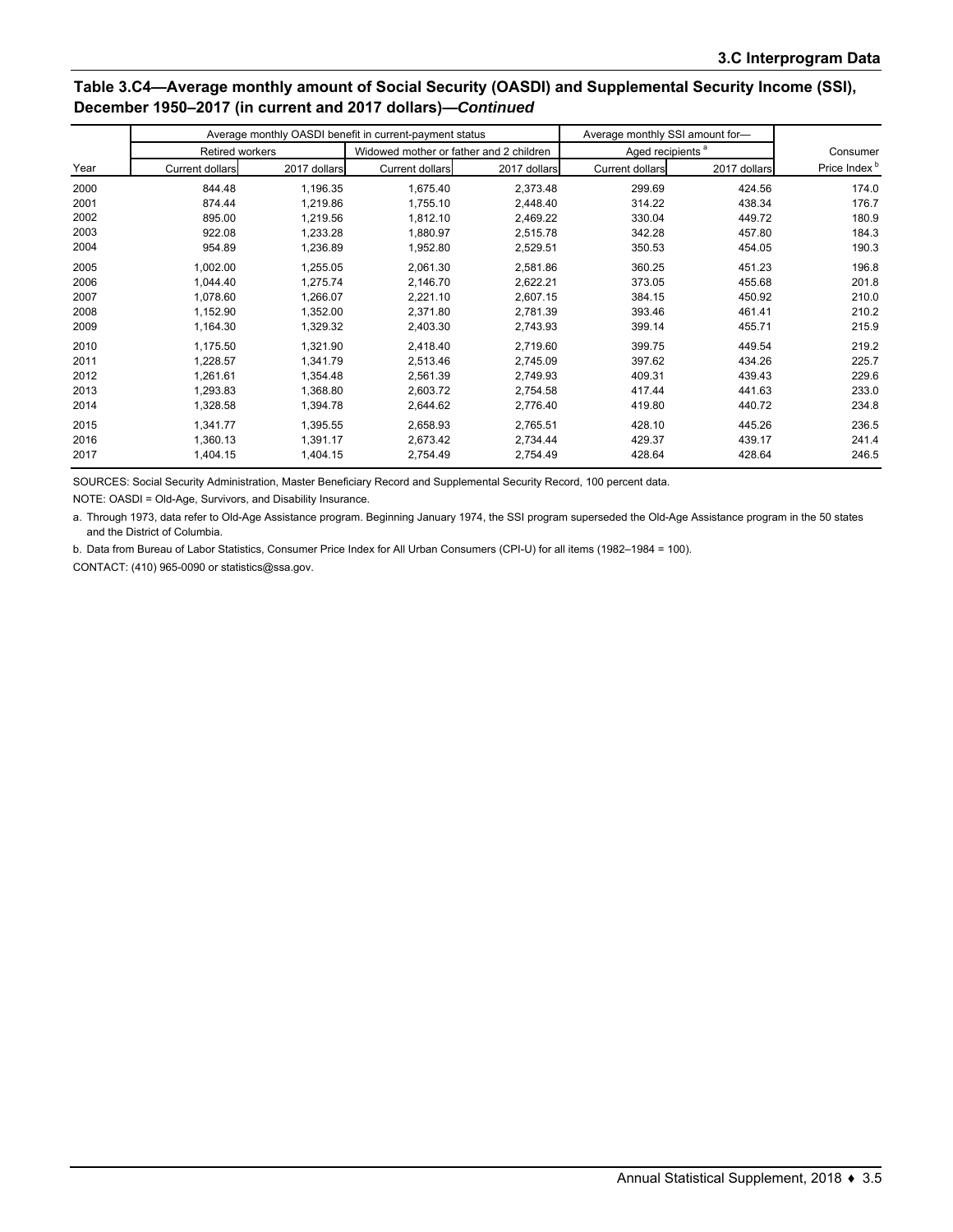## **Table 3.C4—Average monthly amount of Social Security (OASDI) and Supplemental Security Income (SSI), December 1950–2017 (in current and 2017 dollars)—***Continued*

|      |                        |              | Average monthly OASDI benefit in current-payment status | Average monthly SSI amount for- |                              |              |                          |
|------|------------------------|--------------|---------------------------------------------------------|---------------------------------|------------------------------|--------------|--------------------------|
|      | <b>Retired workers</b> |              | Widowed mother or father and 2 children                 |                                 | Aged recipients <sup>a</sup> |              | Consumer                 |
| Year | <b>Current dollars</b> | 2017 dollars | <b>Current dollars</b>                                  | 2017 dollars                    | <b>Current dollars</b>       | 2017 dollars | Price Index <sup>b</sup> |
| 2000 | 844.48                 | 1,196.35     | 1,675.40                                                | 2,373.48                        | 299.69                       | 424.56       | 174.0                    |
| 2001 | 874.44                 | 1,219.86     | 1,755.10                                                | 2,448.40                        | 314.22                       | 438.34       | 176.7                    |
| 2002 | 895.00                 | 1,219.56     | 1,812.10                                                | 2,469.22                        | 330.04                       | 449.72       | 180.9                    |
| 2003 | 922.08                 | 1.233.28     | 1.880.97                                                | 2.515.78                        | 342.28                       | 457.80       | 184.3                    |
| 2004 | 954.89                 | 1,236.89     | 1,952.80                                                | 2,529.51                        | 350.53                       | 454.05       | 190.3                    |
| 2005 | 1,002.00               | 1,255.05     | 2,061.30                                                | 2,581.86                        | 360.25                       | 451.23       | 196.8                    |
| 2006 | 1.044.40               | 1,275.74     | 2,146.70                                                | 2,622.21                        | 373.05                       | 455.68       | 201.8                    |
| 2007 | 1,078.60               | 1,266.07     | 2,221.10                                                | 2,607.15                        | 384.15                       | 450.92       | 210.0                    |
| 2008 | 1,152.90               | 1,352.00     | 2,371.80                                                | 2,781.39                        | 393.46                       | 461.41       | 210.2                    |
| 2009 | 1,164.30               | 1,329.32     | 2,403.30                                                | 2,743.93                        | 399.14                       | 455.71       | 215.9                    |
| 2010 | 1,175.50               | 1.321.90     | 2,418.40                                                | 2,719.60                        | 399.75                       | 449.54       | 219.2                    |
| 2011 | 1,228.57               | 1,341.79     | 2,513.46                                                | 2,745.09                        | 397.62                       | 434.26       | 225.7                    |
| 2012 | 1,261.61               | 1,354.48     | 2,561.39                                                | 2,749.93                        | 409.31                       | 439.43       | 229.6                    |
| 2013 | 1,293.83               | 1,368.80     | 2,603.72                                                | 2,754.58                        | 417.44                       | 441.63       | 233.0                    |
| 2014 | 1.328.58               | 1.394.78     | 2.644.62                                                | 2.776.40                        | 419.80                       | 440.72       | 234.8                    |
| 2015 | 1,341.77               | 1,395.55     | 2,658.93                                                | 2,765.51                        | 428.10                       | 445.26       | 236.5                    |
| 2016 | 1,360.13               | 1,391.17     | 2,673.42                                                | 2.734.44                        | 429.37                       | 439.17       | 241.4                    |
| 2017 | 1,404.15               | 1,404.15     | 2,754.49                                                | 2,754.49                        | 428.64                       | 428.64       | 246.5                    |

SOURCES: Social Security Administration, Master Beneficiary Record and Supplemental Security Record, 100 percent data.

NOTE: OASDI = Old-Age, Survivors, and Disability Insurance.

a. Through 1973, data refer to Old-Age Assistance program. Beginning January 1974, the SSI program superseded the Old-Age Assistance program in the 50 states and the District of Columbia.

b. Data from Bureau of Labor Statistics, Consumer Price Index for All Urban Consumers (CPI-U) for all items (1982–1984 = 100).

CONTACT: (410) 965-0090 or statistics@ssa.gov.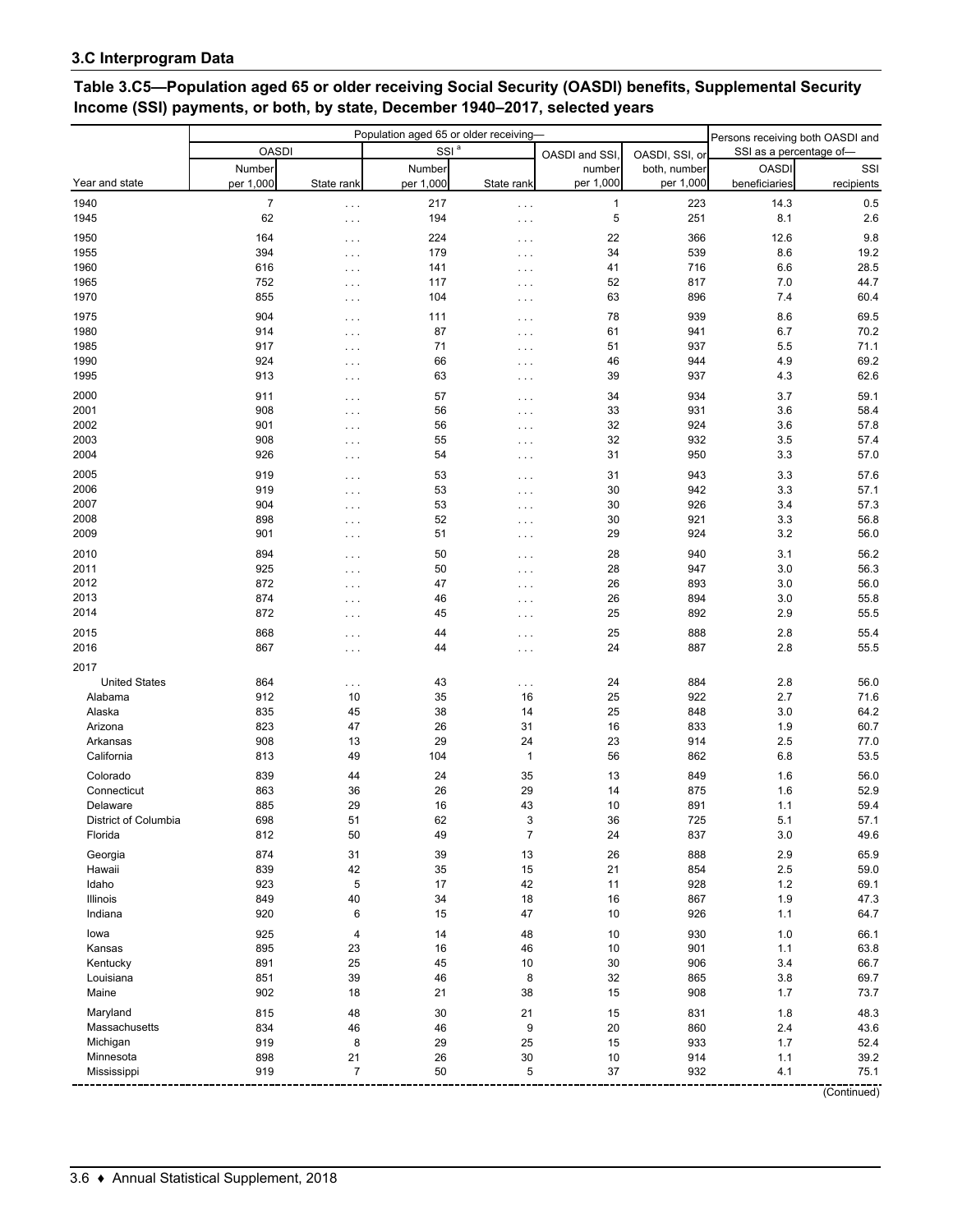|                      | Population aged 65 or older receiving- |                      |            |                      |               |                | Persons receiving both OASDI and |              |  |
|----------------------|----------------------------------------|----------------------|------------|----------------------|---------------|----------------|----------------------------------|--------------|--|
|                      | <b>OASDI</b>                           |                      | $SSI^a$    |                      | OASDI and SSI | OASDI, SSI, or | SSI as a percentage of-          |              |  |
|                      | Number                                 |                      | Number     |                      | number        | both, number   | <b>OASDI</b>                     | SSI          |  |
| Year and state       | per 1,000                              | State rank           | per 1,000  | State rank           | per 1,000     | per 1,000      | beneficiaries                    | recipients   |  |
| 1940                 | $\overline{7}$                         | $\cdots$             | 217        | $\sim$ $\sim$ $\sim$ | $\mathbf{1}$  | 223            | 14.3                             | 0.5          |  |
| 1945                 | 62                                     | $\cdots$             | 194        | $\cdots$             | 5             | 251            | 8.1                              | 2.6          |  |
|                      |                                        |                      |            |                      |               |                |                                  |              |  |
| 1950                 | 164                                    | $\cdots$             | 224        | $\ldots$ .           | 22            | 366            | 12.6                             | 9.8          |  |
| 1955<br>1960         | 394<br>616                             | $\cdots$             | 179<br>141 | $\cdots$             | 34            | 539<br>716     | 8.6<br>6.6                       | 19.2<br>28.5 |  |
| 1965                 | 752                                    | .                    | 117        | $\cdots$             | 41<br>52      | 817            | 7.0                              | 44.7         |  |
| 1970                 | 855                                    | $\cdots$<br>$\cdots$ | 104        | $\cdots$<br>$\cdots$ | 63            | 896            | 7.4                              | 60.4         |  |
|                      |                                        |                      |            |                      |               |                |                                  |              |  |
| 1975<br>1980         | 904<br>914                             | $\cdots$             | 111        | $\cdots$             | 78            | 939            | 8.6                              | 69.5         |  |
| 1985                 | 917                                    | $\cdots$             | 87<br>71   | $\cdots$             | 61<br>51      | 941<br>937     | 6.7<br>5.5                       | 70.2<br>71.1 |  |
| 1990                 | 924                                    | $\cdots$             | 66         | $\cdots$             | 46            | 944            | 4.9                              | 69.2         |  |
| 1995                 | 913                                    | $\cdots$<br>$\cdots$ | 63         | $\cdots$<br>$\cdots$ | 39            | 937            | 4.3                              | 62.6         |  |
|                      |                                        |                      |            |                      |               |                |                                  |              |  |
| 2000                 | 911                                    | $\cdots$             | 57         | $\cdots$             | 34            | 934            | 3.7                              | 59.1         |  |
| 2001<br>2002         | 908<br>901                             | $\cdots$             | 56<br>56   | $\cdots$             | 33<br>32      | 931<br>924     | 3.6<br>3.6                       | 58.4<br>57.8 |  |
| 2003                 | 908                                    | $\cdots$             | 55         | $\cdots$             | 32            | 932            | 3.5                              | 57.4         |  |
| 2004                 | 926                                    | .                    | 54         | .                    | 31            | 950            | 3.3                              | 57.0         |  |
|                      |                                        | $\cdots$             |            | $\cdots$             |               |                |                                  |              |  |
| 2005                 | 919                                    | .                    | 53         | $\sim$ $\sim$ $\sim$ | 31            | 943            | 3.3                              | 57.6         |  |
| 2006                 | 919                                    | $\cdots$             | 53         | $\cdots$             | 30            | 942            | 3.3                              | 57.1         |  |
| 2007                 | 904<br>898                             | $\cdots$             | 53<br>52   | $\cdots$             | 30            | 926            | 3.4<br>3.3                       | 57.3<br>56.8 |  |
| 2008<br>2009         | 901                                    | $\cdots$             | 51         | $\cdots$             | 30<br>29      | 921<br>924     | 3.2                              | 56.0         |  |
|                      |                                        | $\cdots$             |            | $\cdots$             |               |                |                                  |              |  |
| 2010                 | 894                                    | $\cdots$             | 50         | $\ldots$ .           | 28            | 940            | 3.1                              | 56.2         |  |
| 2011                 | 925                                    | $\cdots$             | 50         | $\cdots$             | 28            | 947            | 3.0                              | 56.3         |  |
| 2012<br>2013         | 872<br>874                             | $\cdots$             | 47<br>46   | $\cdots$             | 26            | 893<br>894     | 3.0<br>3.0                       | 56.0         |  |
| 2014                 | 872                                    | $\cdots$             | 45         | $\cdots$             | 26<br>25      | 892            | 2.9                              | 55.8<br>55.5 |  |
|                      |                                        | .                    |            | $\cdots$             |               |                |                                  |              |  |
| 2015                 | 868                                    | $\cdots$             | 44         | .                    | 25            | 888            | 2.8                              | 55.4         |  |
| 2016                 | 867                                    | $\cdots$             | 44         | .                    | 24            | 887            | 2.8                              | 55.5         |  |
| 2017                 |                                        |                      |            |                      |               |                |                                  |              |  |
| <b>United States</b> | 864                                    | .                    | 43         | .                    | 24            | 884            | 2.8                              | 56.0         |  |
| Alabama              | 912                                    | 10                   | 35         | 16                   | 25            | 922            | 2.7                              | 71.6         |  |
| Alaska               | 835                                    | 45                   | 38         | 14                   | 25            | 848            | 3.0                              | 64.2         |  |
| Arizona              | 823                                    | 47                   | 26         | 31                   | 16            | 833            | 1.9                              | 60.7         |  |
| Arkansas             | 908                                    | 13                   | 29         | 24                   | 23            | 914            | 2.5                              | 77.0         |  |
| California           | 813                                    | 49                   | 104        | $\mathbf{1}$         | 56            | 862            | 6.8                              | 53.5         |  |
| Colorado             | 839                                    | 44                   | 24         | 35                   | 13            | 849            | 1.6                              | 56.0         |  |
| Connecticut          | 863                                    | 36                   | 26         | 29                   | 14            | 875            | 1.6                              | 52.9         |  |
| Delaware             | 885                                    | 29                   | 16         | 43                   | 10            | 891            | 1.1                              | 59.4         |  |
| District of Columbia | 698                                    | 51                   | 62         | 3<br>$\overline{7}$  | 36            | 725            | 5.1                              | 57.1         |  |
| Florida              | 812                                    | 50                   | 49         |                      | 24            | 837            | 3.0                              | 49.6         |  |
| Georgia              | 874                                    | 31                   | 39         | 13                   | 26            | 888            | $2.9\,$                          | 65.9         |  |
| Hawaii               | 839                                    | 42                   | 35         | 15                   | 21            | 854            | 2.5                              | 59.0         |  |
| Idaho                | 923                                    | 5                    | 17         | 42                   | 11            | 928            | $1.2\,$                          | 69.1         |  |
| Illinois             | 849                                    | 40                   | 34         | 18                   | 16            | 867            | 1.9                              | 47.3         |  |
| Indiana              | 920                                    | 6                    | 15         | 47                   | 10            | 926            | 1.1                              | 64.7         |  |
| lowa                 | 925                                    | 4                    | 14         | 48                   | 10            | 930            | 1.0                              | 66.1         |  |
| Kansas               | 895                                    | 23                   | 16         | 46                   | 10            | 901            | 1.1                              | 63.8         |  |
| Kentucky             | 891                                    | 25                   | 45         | $10$                 | 30            | 906            | 3.4                              | 66.7         |  |
| Louisiana            | 851                                    | 39                   | 46         | 8                    | 32            | 865            | $3.8\,$                          | 69.7         |  |
| Maine                | 902                                    | 18                   | 21         | 38                   | 15            | 908            | 1.7                              | 73.7         |  |
| Maryland             | 815                                    | 48                   | 30         | 21                   | 15            | 831            | 1.8                              | 48.3         |  |
| Massachusetts        | 834                                    | 46                   | 46         | 9                    | 20            | 860            | 2.4                              | 43.6         |  |
| Michigan             | 919                                    | 8                    | 29         | 25                   | 15            | 933            | 1.7                              | 52.4         |  |
| Minnesota            | 898                                    | 21                   | 26         | $30\,$               | 10            | 914            | 1.1                              | 39.2         |  |
| Mississippi          | 919                                    | $\overline{7}$       | 50         | 5                    | 37            | 932            | 4.1                              | 75.1         |  |

# **Table 3.C5—Population aged 65 or older receiving Social Security (OASDI) benefits, Supplemental Security Income (SSI) payments, or both, by state, December 1940–2017, selected years**

(Continued)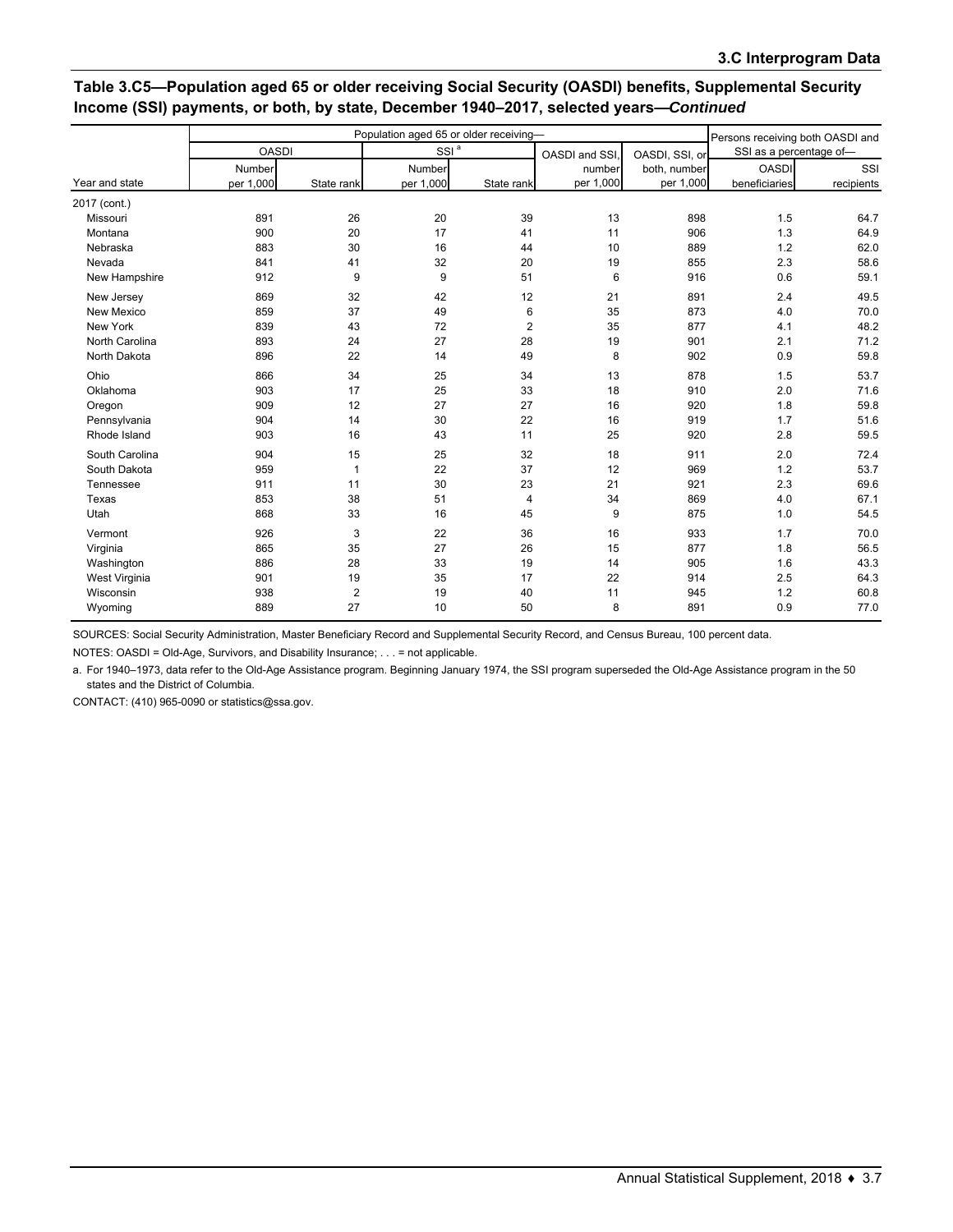|                |              |                | Population aged 65 or older receiving- |                | Persons receiving both OASDI and |                |                         |            |
|----------------|--------------|----------------|----------------------------------------|----------------|----------------------------------|----------------|-------------------------|------------|
|                | <b>OASDI</b> |                | SSI <sup>a</sup>                       |                | OASDI and SSI,                   | OASDI, SSI, or | SSI as a percentage of- |            |
|                | Number       |                | Number                                 |                | number                           | both, number   | <b>OASDI</b>            | SSI        |
| Year and state | per 1,000    | State rank     | per 1,000                              | State rank     | per 1,000                        | per 1,000      | beneficiaries           | recipients |
| 2017 (cont.)   |              |                |                                        |                |                                  |                |                         |            |
| Missouri       | 891          | 26             | 20                                     | 39             | 13                               | 898            | 1.5                     | 64.7       |
| Montana        | 900          | 20             | 17                                     | 41             | 11                               | 906            | 1.3                     | 64.9       |
| Nebraska       | 883          | 30             | 16                                     | 44             | 10                               | 889            | 1.2                     | 62.0       |
| Nevada         | 841          | 41             | 32                                     | 20             | 19                               | 855            | 2.3                     | 58.6       |
| New Hampshire  | 912          | 9              | 9                                      | 51             | $\,6\,$                          | 916            | 0.6                     | 59.1       |
| New Jersey     | 869          | 32             | 42                                     | 12             | 21                               | 891            | 2.4                     | 49.5       |
| New Mexico     | 859          | 37             | 49                                     | $6\phantom{1}$ | 35                               | 873            | 4.0                     | 70.0       |
| New York       | 839          | 43             | 72                                     | $\overline{2}$ | 35                               | 877            | 4.1                     | 48.2       |
| North Carolina | 893          | 24             | 27                                     | 28             | 19                               | 901            | 2.1                     | 71.2       |
| North Dakota   | 896          | 22             | 14                                     | 49             | 8                                | 902            | 0.9                     | 59.8       |
| Ohio           | 866          | 34             | 25                                     | 34             | 13                               | 878            | 1.5                     | 53.7       |
| Oklahoma       | 903          | 17             | 25                                     | 33             | 18                               | 910            | 2.0                     | 71.6       |
| Oregon         | 909          | 12             | 27                                     | 27             | 16                               | 920            | 1.8                     | 59.8       |
| Pennsylvania   | 904          | 14             | 30                                     | 22             | 16                               | 919            | 1.7                     | 51.6       |
| Rhode Island   | 903          | 16             | 43                                     | 11             | 25                               | 920            | 2.8                     | 59.5       |
| South Carolina | 904          | 15             | 25                                     | 32             | 18                               | 911            | 2.0                     | 72.4       |
| South Dakota   | 959          | $\mathbf{1}$   | 22                                     | 37             | 12                               | 969            | 1.2                     | 53.7       |
| Tennessee      | 911          | 11             | 30                                     | 23             | 21                               | 921            | 2.3                     | 69.6       |
| Texas          | 853          | 38             | 51                                     | 4              | 34                               | 869            | 4.0                     | 67.1       |
| Utah           | 868          | 33             | 16                                     | 45             | 9                                | 875            | 1.0                     | 54.5       |
| Vermont        | 926          | 3              | 22                                     | 36             | 16                               | 933            | 1.7                     | 70.0       |
| Virginia       | 865          | 35             | 27                                     | 26             | 15                               | 877            | 1.8                     | 56.5       |
| Washington     | 886          | 28             | 33                                     | 19             | 14                               | 905            | 1.6                     | 43.3       |
| West Virginia  | 901          | 19             | 35                                     | 17             | 22                               | 914            | 2.5                     | 64.3       |
| Wisconsin      | 938          | $\overline{c}$ | 19                                     | 40             | 11                               | 945            | 1.2                     | 60.8       |
| Wyoming        | 889          | 27             | 10                                     | 50             | 8                                | 891            | 0.9                     | 77.0       |

## **Table 3.C5—Population aged 65 or older receiving Social Security (OASDI) benefits, Supplemental Security Income (SSI) payments, or both, by state, December 1940–2017, selected years—***Continued*

SOURCES: Social Security Administration, Master Beneficiary Record and Supplemental Security Record, and Census Bureau, 100 percent data.

NOTES: OASDI = Old-Age, Survivors, and Disability Insurance; . . . = not applicable.

a. For 1940–1973, data refer to the Old-Age Assistance program. Beginning January 1974, the SSI program superseded the Old-Age Assistance program in the 50 states and the District of Columbia.

CONTACT: (410) 965-0090 or statistics@ssa.gov.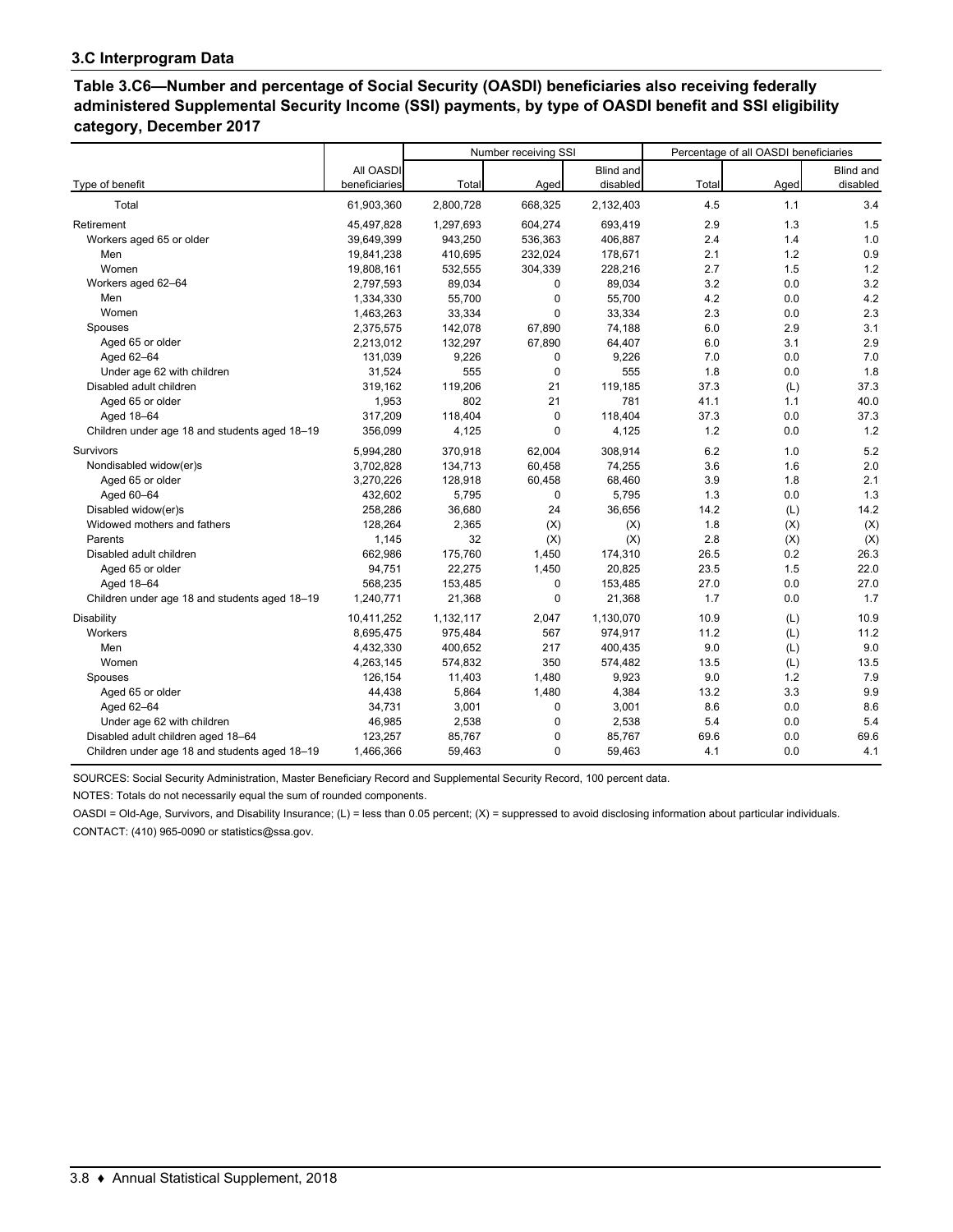#### **3.C Interprogram Data**

**Table 3.C6—Number and percentage of Social Security (OASDI) beneficiaries also receiving federally administered Supplemental Security Income (SSI) payments, by type of OASDI benefit and SSI eligibility category, December 2017**

|                                               |               |           | Number receiving SSI |                  | Percentage of all OASDI beneficiaries |      |                  |
|-----------------------------------------------|---------------|-----------|----------------------|------------------|---------------------------------------|------|------------------|
|                                               | All OASDI     |           |                      | <b>Blind and</b> |                                       |      | <b>Blind and</b> |
| Type of benefit                               | beneficiaries | Total     | Aged                 | disabled         | Total                                 | Aged | disabled         |
| Total                                         | 61,903,360    | 2,800,728 | 668,325              | 2,132,403        | 4.5                                   | 1.1  | 3.4              |
| Retirement                                    | 45,497,828    | 1,297,693 | 604,274              | 693,419          | 2.9                                   | 1.3  | 1.5              |
| Workers aged 65 or older                      | 39,649,399    | 943,250   | 536,363              | 406,887          | 2.4                                   | 1.4  | 1.0              |
| Men                                           | 19,841,238    | 410,695   | 232,024              | 178,671          | 2.1                                   | 1.2  | 0.9              |
| Women                                         | 19,808,161    | 532,555   | 304,339              | 228,216          | 2.7                                   | 1.5  | 1.2              |
| Workers aged 62-64                            | 2,797,593     | 89,034    | 0                    | 89,034           | 3.2                                   | 0.0  | 3.2              |
| Men                                           | 1,334,330     | 55,700    | $\mathbf 0$          | 55,700           | 4.2                                   | 0.0  | 4.2              |
| Women                                         | 1,463,263     | 33,334    | $\Omega$             | 33,334           | 2.3                                   | 0.0  | 2.3              |
| Spouses                                       | 2,375,575     | 142,078   | 67,890               | 74,188           | 6.0                                   | 2.9  | 3.1              |
| Aged 65 or older                              | 2,213,012     | 132,297   | 67,890               | 64,407           | 6.0                                   | 3.1  | 2.9              |
| Aged 62-64                                    | 131,039       | 9,226     | 0                    | 9,226            | 7.0                                   | 0.0  | 7.0              |
| Under age 62 with children                    | 31,524        | 555       | $\mathbf 0$          | 555              | 1.8                                   | 0.0  | 1.8              |
| Disabled adult children                       | 319,162       | 119,206   | 21                   | 119,185          | 37.3                                  | (L)  | 37.3             |
| Aged 65 or older                              | 1,953         | 802       | 21                   | 781              | 41.1                                  | 1.1  | 40.0             |
| Aged 18-64                                    | 317,209       | 118,404   | $\pmb{0}$            | 118,404          | 37.3                                  | 0.0  | 37.3             |
| Children under age 18 and students aged 18-19 | 356,099       | 4,125     | 0                    | 4,125            | 1.2                                   | 0.0  | 1.2              |
| <b>Survivors</b>                              | 5,994,280     | 370,918   | 62,004               | 308,914          | 6.2                                   | 1.0  | 5.2              |
| Nondisabled widow(er)s                        | 3,702,828     | 134,713   | 60,458               | 74,255           | 3.6                                   | 1.6  | 2.0              |
| Aged 65 or older                              | 3,270,226     | 128,918   | 60,458               | 68,460           | 3.9                                   | 1.8  | 2.1              |
| Aged 60-64                                    | 432,602       | 5,795     | $\mathbf 0$          | 5,795            | 1.3                                   | 0.0  | 1.3              |
| Disabled widow(er)s                           | 258,286       | 36,680    | 24                   | 36,656           | 14.2                                  | (L)  | 14.2             |
| Widowed mothers and fathers                   | 128,264       | 2,365     | (X)                  | (X)              | 1.8                                   | (X)  | (X)              |
| Parents                                       | 1,145         | 32        | (X)                  | (X)              | 2.8                                   | (X)  | (X)              |
| Disabled adult children                       | 662,986       | 175,760   | 1,450                | 174,310          | 26.5                                  | 0.2  | 26.3             |
| Aged 65 or older                              | 94,751        | 22,275    | 1,450                | 20,825           | 23.5                                  | 1.5  | 22.0             |
| Aged 18-64                                    | 568,235       | 153,485   | 0                    | 153,485          | 27.0                                  | 0.0  | 27.0             |
| Children under age 18 and students aged 18-19 | 1,240,771     | 21,368    | 0                    | 21,368           | 1.7                                   | 0.0  | 1.7              |
| Disability                                    | 10,411,252    | 1,132,117 | 2,047                | 1,130,070        | 10.9                                  | (L)  | 10.9             |
| Workers                                       | 8,695,475     | 975,484   | 567                  | 974,917          | 11.2                                  | (L)  | 11.2             |
| Men                                           | 4,432,330     | 400,652   | 217                  | 400,435          | 9.0                                   | (L)  | 9.0              |
| Women                                         | 4,263,145     | 574,832   | 350                  | 574,482          | 13.5                                  | (L)  | 13.5             |
| Spouses                                       | 126,154       | 11,403    | 1,480                | 9,923            | 9.0                                   | 1.2  | 7.9              |
| Aged 65 or older                              | 44,438        | 5,864     | 1,480                | 4,384            | 13.2                                  | 3.3  | 9.9              |
| Aged 62-64                                    | 34,731        | 3,001     | $\mathbf 0$          | 3,001            | 8.6                                   | 0.0  | 8.6              |
| Under age 62 with children                    | 46,985        | 2,538     | $\mathbf 0$          | 2,538            | 5.4                                   | 0.0  | 5.4              |
| Disabled adult children aged 18-64            | 123,257       | 85,767    | 0                    | 85,767           | 69.6                                  | 0.0  | 69.6             |
| Children under age 18 and students aged 18-19 | 1,466,366     | 59,463    | $\Omega$             | 59,463           | 4.1                                   | 0.0  | 4.1              |

SOURCES: Social Security Administration, Master Beneficiary Record and Supplemental Security Record, 100 percent data.

NOTES: Totals do not necessarily equal the sum of rounded components.

OASDI = Old-Age, Survivors, and Disability Insurance; (L) = less than 0.05 percent; (X) = suppressed to avoid disclosing information about particular individuals. CONTACT: (410) 965-0090 or statistics@ssa.gov.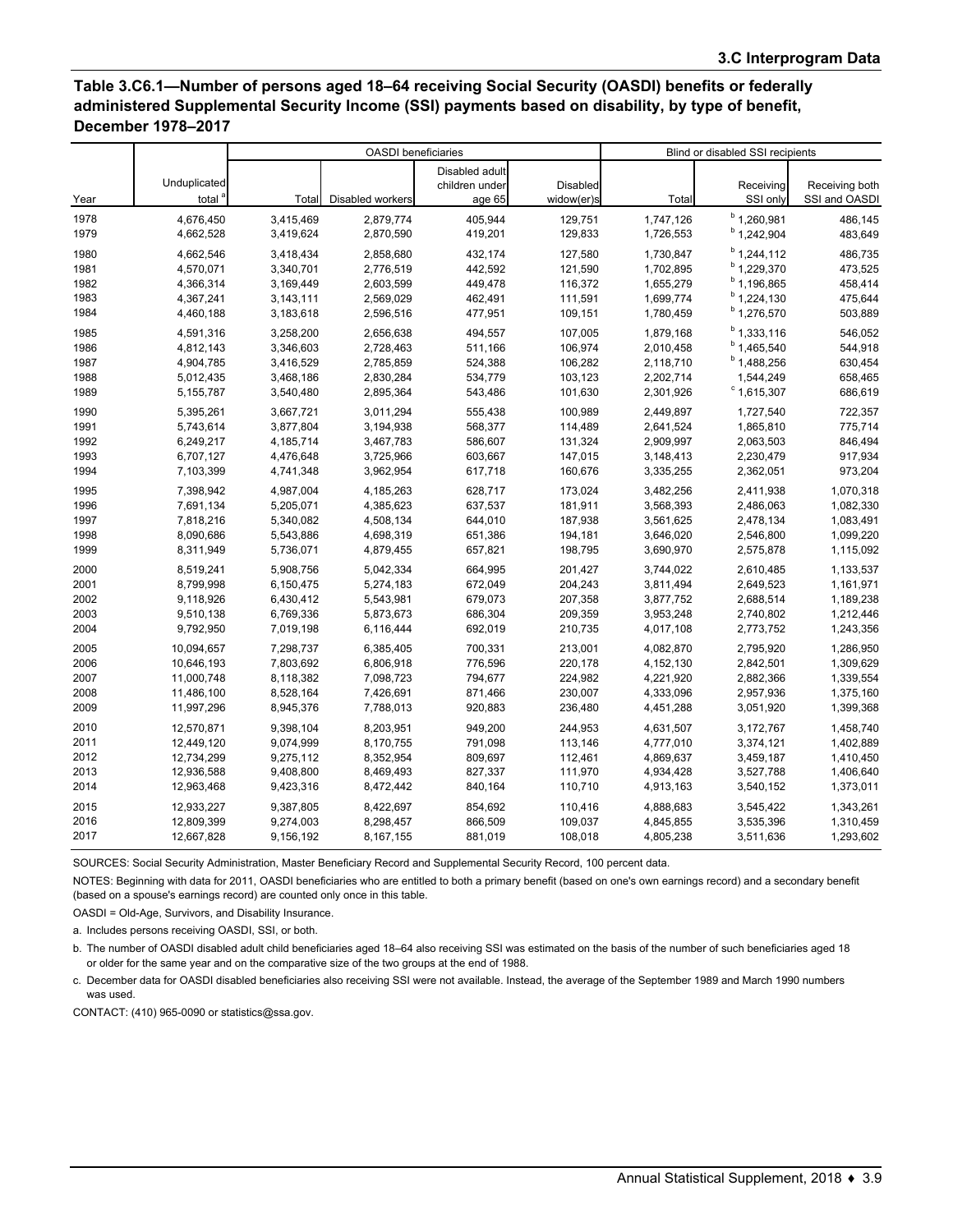# **Table 3.C6.1—Number of persons aged 18–64 receiving Social Security (OASDI) benefits or federally administered Supplemental Security Income (SSI) payments based on disability, by type of benefit, December 1978–2017**

|              |                                    |                        | <b>OASDI</b> beneficiaries |                                            |                        | Blind or disabled SSI recipients |                        |                                 |  |
|--------------|------------------------------------|------------------------|----------------------------|--------------------------------------------|------------------------|----------------------------------|------------------------|---------------------------------|--|
| Year         | Unduplicated<br>total <sup>®</sup> | Total                  | Disabled workers           | Disabled adult<br>children under<br>age 65 | Disabled<br>widow(er)s | Total                            | Receiving<br>SSI only  | Receiving both<br>SSI and OASDI |  |
|              |                                    |                        |                            |                                            |                        |                                  | $b$ 1,260,981          |                                 |  |
| 1978<br>1979 | 4,676,450<br>4,662,528             | 3,415,469<br>3,419,624 | 2,879,774<br>2,870,590     | 405.944<br>419,201                         | 129,751<br>129,833     | 1,747,126<br>1,726,553           | $b$ 1,242,904          | 486.145<br>483,649              |  |
|              |                                    |                        |                            |                                            |                        |                                  |                        |                                 |  |
| 1980         | 4,662,546                          | 3,418,434              | 2,858,680                  | 432,174                                    | 127,580                | 1,730,847                        | $b$ 1,244,112          | 486,735                         |  |
| 1981         | 4,570,071                          | 3,340,701              | 2,776,519                  | 442,592                                    | 121,590                | 1,702,895                        | $b$ 1,229,370          | 473,525                         |  |
| 1982         | 4,366,314                          | 3,169,449              | 2,603,599                  | 449,478                                    | 116,372                | 1,655,279                        | $b$ 1,196,865          | 458,414                         |  |
| 1983         | 4,367,241                          | 3,143,111              | 2,569,029                  | 462,491                                    | 111,591                | 1,699,774                        | $b$ 1,224,130          | 475,644                         |  |
| 1984         | 4,460,188                          | 3,183,618              | 2,596,516                  | 477,951                                    | 109,151                | 1,780,459                        | $b$ 1,276,570          | 503,889                         |  |
| 1985         | 4,591,316                          | 3,258,200              | 2,656,638                  | 494,557                                    | 107,005                | 1,879,168                        | $b$ 1,333,116          | 546,052                         |  |
| 1986         | 4,812,143                          | 3,346,603              | 2,728,463                  | 511,166                                    | 106,974                | 2,010,458                        | $b$ 1,465,540          | 544,918                         |  |
| 1987         | 4,904,785                          | 3,416,529              | 2,785,859                  | 524,388                                    | 106,282                | 2,118,710                        | $b$ 1,488,256          | 630,454                         |  |
| 1988         | 5,012,435                          | 3,468,186              | 2,830,284                  | 534,779                                    | 103,123                | 2,202,714                        | 1,544,249              | 658,465                         |  |
| 1989         | 5,155,787                          | 3,540,480              | 2,895,364                  | 543,486                                    | 101,630                | 2,301,926                        | $^{\circ}$ 1,615,307   | 686,619                         |  |
| 1990         | 5,395,261                          | 3,667,721              | 3,011,294                  | 555,438                                    | 100,989                | 2,449,897                        | 1,727,540              | 722,357                         |  |
| 1991         | 5,743,614                          | 3,877,804              | 3,194,938                  | 568,377                                    | 114,489                | 2,641,524                        | 1,865,810              | 775,714                         |  |
| 1992         | 6,249,217                          | 4,185,714              | 3,467,783                  | 586,607                                    | 131,324                | 2,909,997                        | 2,063,503              | 846,494                         |  |
| 1993         | 6,707,127                          | 4,476,648              | 3,725,966                  | 603,667                                    | 147,015                | 3,148,413                        | 2,230,479              | 917,934                         |  |
| 1994         | 7,103,399                          | 4,741,348              | 3,962,954                  | 617,718                                    | 160,676                | 3,335,255                        | 2,362,051              | 973,204                         |  |
| 1995         | 7,398,942                          | 4,987,004              | 4,185,263                  | 628.717                                    | 173.024                | 3,482,256                        | 2,411,938              | 1,070,318                       |  |
| 1996         | 7,691,134                          | 5,205,071              | 4,385,623                  | 637,537                                    | 181,911                | 3,568,393                        | 2,486,063              | 1,082,330                       |  |
| 1997         | 7,818,216                          | 5,340,082              | 4,508,134                  | 644,010                                    | 187,938                | 3,561,625                        | 2,478,134              | 1,083,491                       |  |
| 1998         | 8,090,686                          | 5,543,886              | 4,698,319                  | 651,386                                    | 194,181                | 3,646,020                        | 2,546,800              | 1,099,220                       |  |
| 1999         | 8,311,949                          | 5,736,071              | 4,879,455                  | 657,821                                    | 198,795                | 3,690,970                        | 2,575,878              | 1,115,092                       |  |
| 2000         | 8,519,241                          | 5,908,756              | 5,042,334                  | 664,995                                    | 201,427                | 3,744,022                        | 2,610,485              | 1,133,537                       |  |
| 2001         | 8,799,998                          | 6,150,475              | 5,274,183                  | 672,049                                    | 204,243                | 3,811,494                        | 2,649,523              | 1,161,971                       |  |
| 2002         | 9,118,926                          | 6,430,412              | 5,543,981                  | 679,073                                    | 207,358                | 3,877,752                        | 2,688,514              | 1,189,238                       |  |
| 2003         | 9,510,138                          | 6,769,336              | 5,873,673                  | 686,304                                    | 209,359                | 3,953,248                        | 2,740,802              | 1,212,446                       |  |
| 2004         | 9,792,950                          | 7,019,198              | 6,116,444                  | 692,019                                    | 210,735                | 4,017,108                        | 2,773,752              | 1,243,356                       |  |
| 2005         | 10,094,657                         | 7,298,737              | 6,385,405                  | 700,331                                    | 213,001                | 4,082,870                        | 2,795,920              | 1,286,950                       |  |
| 2006         | 10,646,193                         | 7,803,692              | 6,806,918                  | 776,596                                    | 220,178                | 4,152,130                        | 2,842,501              | 1,309,629                       |  |
| 2007         | 11,000,748                         | 8,118,382              | 7,098,723                  | 794,677                                    | 224,982                | 4,221,920                        | 2,882,366              | 1,339,554                       |  |
| 2008         | 11,486,100                         | 8,528,164              | 7,426,691                  | 871,466                                    | 230,007                | 4,333,096                        | 2,957,936              | 1,375,160                       |  |
| 2009         | 11,997,296                         | 8,945,376              | 7,788,013                  | 920,883                                    | 236,480                | 4,451,288                        | 3,051,920              | 1,399,368                       |  |
| 2010         |                                    |                        |                            |                                            |                        |                                  |                        |                                 |  |
| 2011         | 12,570,871<br>12,449,120           | 9,398,104<br>9,074,999 | 8,203,951<br>8,170,755     | 949,200<br>791,098                         | 244,953<br>113,146     | 4,631,507<br>4,777,010           | 3,172,767              | 1,458,740                       |  |
| 2012         | 12,734,299                         | 9,275,112              | 8,352,954                  | 809,697                                    | 112,461                | 4,869,637                        | 3,374,121<br>3,459,187 | 1,402,889<br>1,410,450          |  |
| 2013         | 12,936,588                         | 9,408,800              | 8,469,493                  | 827,337                                    | 111,970                |                                  | 3,527,788              | 1,406,640                       |  |
| 2014         | 12,963,468                         | 9,423,316              | 8,472,442                  | 840,164                                    | 110,710                | 4,934,428<br>4,913,163           | 3,540,152              | 1,373,011                       |  |
|              |                                    |                        |                            |                                            |                        |                                  |                        |                                 |  |
| 2015         | 12,933,227                         | 9,387,805              | 8,422,697                  | 854,692                                    | 110,416                | 4,888,683                        | 3,545,422              | 1,343,261                       |  |
| 2016         | 12,809,399                         | 9,274,003              | 8,298,457                  | 866,509                                    | 109,037                | 4,845,855                        | 3,535,396              | 1,310,459                       |  |
| 2017         | 12,667,828                         | 9,156,192              | 8,167,155                  | 881,019                                    | 108,018                | 4,805,238                        | 3,511,636              | 1,293,602                       |  |

SOURCES: Social Security Administration, Master Beneficiary Record and Supplemental Security Record, 100 percent data.

NOTES: Beginning with data for 2011, OASDI beneficiaries who are entitled to both a primary benefit (based on one's own earnings record) and a secondary benefit (based on a spouse's earnings record) are counted only once in this table.

OASDI = Old-Age, Survivors, and Disability Insurance.

a. Includes persons receiving OASDI, SSI, or both.

b. The number of OASDI disabled adult child beneficiaries aged 18–64 also receiving SSI was estimated on the basis of the number of such beneficiaries aged 18 or older for the same year and on the comparative size of the two groups at the end of 1988.

c. December data for OASDI disabled beneficiaries also receiving SSI were not available. Instead, the average of the September 1989 and March 1990 numbers was used.

CONTACT: (410) 965-0090 or statistics@ssa.gov.